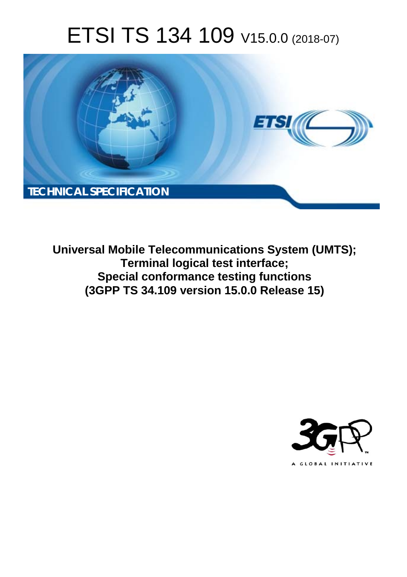# ETSI TS 134 109 V15.0.0 (2018-07)



**Universal Mobile Telecommunications System (UMTS); Terminal logical test interface; Special conformance testing functions (3GPP TS 34.109 version 15.0.0 Release 15)** 

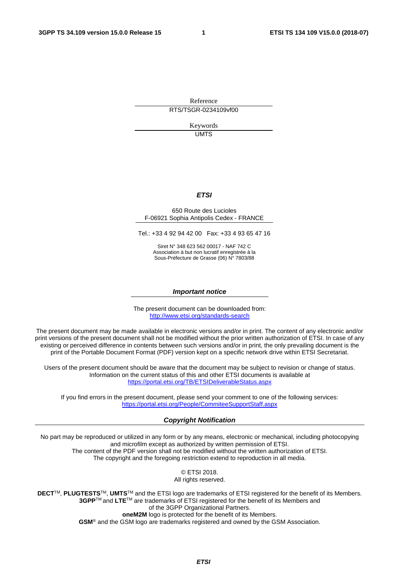Reference RTS/TSGR-0234109vf00

> Keywords UMTS

#### *ETSI*

#### 650 Route des Lucioles F-06921 Sophia Antipolis Cedex - FRANCE

Tel.: +33 4 92 94 42 00 Fax: +33 4 93 65 47 16

Siret N° 348 623 562 00017 - NAF 742 C Association à but non lucratif enregistrée à la Sous-Préfecture de Grasse (06) N° 7803/88

#### *Important notice*

The present document can be downloaded from: <http://www.etsi.org/standards-search>

The present document may be made available in electronic versions and/or in print. The content of any electronic and/or print versions of the present document shall not be modified without the prior written authorization of ETSI. In case of any existing or perceived difference in contents between such versions and/or in print, the only prevailing document is the print of the Portable Document Format (PDF) version kept on a specific network drive within ETSI Secretariat.

Users of the present document should be aware that the document may be subject to revision or change of status. Information on the current status of this and other ETSI documents is available at <https://portal.etsi.org/TB/ETSIDeliverableStatus.aspx>

If you find errors in the present document, please send your comment to one of the following services: <https://portal.etsi.org/People/CommiteeSupportStaff.aspx>

#### *Copyright Notification*

No part may be reproduced or utilized in any form or by any means, electronic or mechanical, including photocopying and microfilm except as authorized by written permission of ETSI. The content of the PDF version shall not be modified without the written authorization of ETSI. The copyright and the foregoing restriction extend to reproduction in all media.

> © ETSI 2018. All rights reserved.

**DECT**TM, **PLUGTESTS**TM, **UMTS**TM and the ETSI logo are trademarks of ETSI registered for the benefit of its Members. **3GPP**TM and **LTE**TM are trademarks of ETSI registered for the benefit of its Members and of the 3GPP Organizational Partners. **oneM2M** logo is protected for the benefit of its Members.

**GSM**® and the GSM logo are trademarks registered and owned by the GSM Association.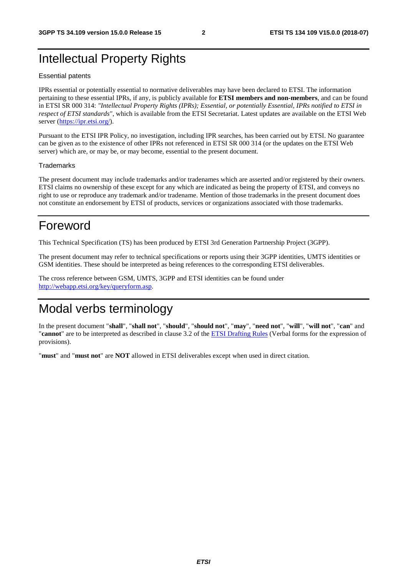# Intellectual Property Rights

#### Essential patents

IPRs essential or potentially essential to normative deliverables may have been declared to ETSI. The information pertaining to these essential IPRs, if any, is publicly available for **ETSI members and non-members**, and can be found in ETSI SR 000 314: *"Intellectual Property Rights (IPRs); Essential, or potentially Essential, IPRs notified to ETSI in respect of ETSI standards"*, which is available from the ETSI Secretariat. Latest updates are available on the ETSI Web server ([https://ipr.etsi.org/\)](https://ipr.etsi.org/).

Pursuant to the ETSI IPR Policy, no investigation, including IPR searches, has been carried out by ETSI. No guarantee can be given as to the existence of other IPRs not referenced in ETSI SR 000 314 (or the updates on the ETSI Web server) which are, or may be, or may become, essential to the present document.

#### **Trademarks**

The present document may include trademarks and/or tradenames which are asserted and/or registered by their owners. ETSI claims no ownership of these except for any which are indicated as being the property of ETSI, and conveys no right to use or reproduce any trademark and/or tradename. Mention of those trademarks in the present document does not constitute an endorsement by ETSI of products, services or organizations associated with those trademarks.

# Foreword

This Technical Specification (TS) has been produced by ETSI 3rd Generation Partnership Project (3GPP).

The present document may refer to technical specifications or reports using their 3GPP identities, UMTS identities or GSM identities. These should be interpreted as being references to the corresponding ETSI deliverables.

The cross reference between GSM, UMTS, 3GPP and ETSI identities can be found under [http://webapp.etsi.org/key/queryform.asp.](http://webapp.etsi.org/key/queryform.asp)

# Modal verbs terminology

In the present document "**shall**", "**shall not**", "**should**", "**should not**", "**may**", "**need not**", "**will**", "**will not**", "**can**" and "**cannot**" are to be interpreted as described in clause 3.2 of the [ETSI Drafting Rules](https://portal.etsi.org/Services/editHelp!/Howtostart/ETSIDraftingRules.aspx) (Verbal forms for the expression of provisions).

"**must**" and "**must not**" are **NOT** allowed in ETSI deliverables except when used in direct citation.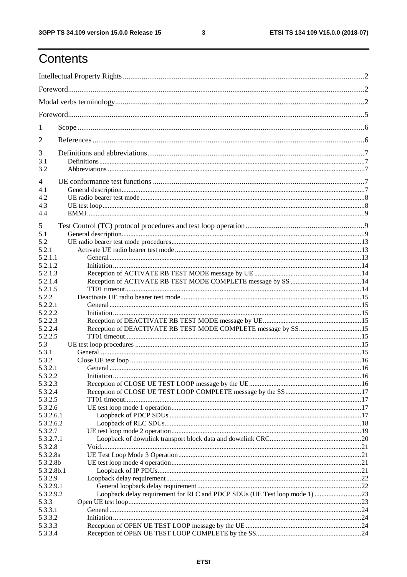$\mathbf{3}$ 

# Contents

| 1                    |                                                                           |  |
|----------------------|---------------------------------------------------------------------------|--|
| 2                    |                                                                           |  |
| 3                    |                                                                           |  |
| 3.1                  |                                                                           |  |
| 3.2                  |                                                                           |  |
| $\overline{4}$       |                                                                           |  |
| 4.1                  |                                                                           |  |
| 4.2                  |                                                                           |  |
| 4.3                  |                                                                           |  |
| 4.4                  |                                                                           |  |
| 5                    |                                                                           |  |
| 5.1                  |                                                                           |  |
| 5.2                  |                                                                           |  |
| 5.2.1                |                                                                           |  |
| 5.2.1.1              |                                                                           |  |
| 5.2.1.2              |                                                                           |  |
| 5.2.1.3              |                                                                           |  |
| 5.2.1.4              |                                                                           |  |
| 5.2.1.5              |                                                                           |  |
| 5.2.2                |                                                                           |  |
| 5.2.2.1              |                                                                           |  |
| 5.2.2.2<br>5.2.2.3   |                                                                           |  |
| 5.2.2.4              |                                                                           |  |
| 5.2.2.5              |                                                                           |  |
| 5.3                  |                                                                           |  |
| 5.3.1                |                                                                           |  |
| 5.3.2                |                                                                           |  |
| 5.3.2.1              |                                                                           |  |
| 5.3.2.2              |                                                                           |  |
| 5.3.2.3              |                                                                           |  |
| 5.3.2.4              |                                                                           |  |
| 5.3.2.5              |                                                                           |  |
| 5.3.2.6              |                                                                           |  |
| 5.3.2.6.1            |                                                                           |  |
| 5.3.2.6.2            |                                                                           |  |
| 5.3.2.7              |                                                                           |  |
| 5.3.2.7.1            |                                                                           |  |
| 5.3.2.8              |                                                                           |  |
| 5.3.2.8a<br>5.3.2.8b |                                                                           |  |
| 5.3.2.8b.1           |                                                                           |  |
| 5.3.2.9              |                                                                           |  |
| 5.3.2.9.1            |                                                                           |  |
| 5.3.2.9.2            | Loopback delay requirement for RLC and PDCP SDUs (UE Test loop mode 1) 23 |  |
| 5.3.3                |                                                                           |  |
| 5.3.3.1              |                                                                           |  |
| 5.3.3.2              |                                                                           |  |
| 5.3.3.3              |                                                                           |  |
| 5.3.3.4              |                                                                           |  |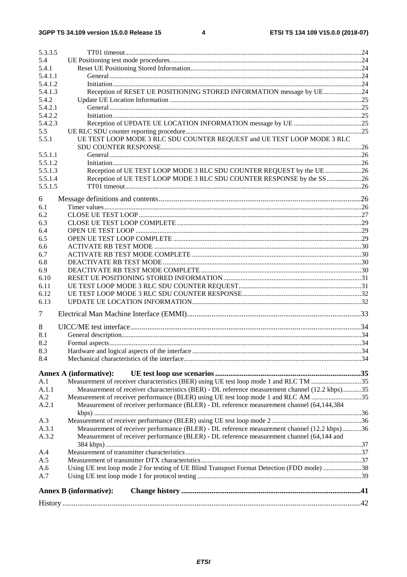| 5.3.3.5            |                                                                                                |  |
|--------------------|------------------------------------------------------------------------------------------------|--|
| 5.4                |                                                                                                |  |
| 5.4.1              |                                                                                                |  |
| 5.4.1.1            |                                                                                                |  |
| 5.4.1.2            |                                                                                                |  |
| 5.4.1.3            | Reception of RESET UE POSITIONING STORED INFORMATION message by UE24                           |  |
| 5.4.2              |                                                                                                |  |
| 5.4.2.1            |                                                                                                |  |
| 5.4.2.2            |                                                                                                |  |
| 5.4.2.3            |                                                                                                |  |
| 5.5                |                                                                                                |  |
| 5.5.1              | UE TEST LOOP MODE 3 RLC SDU COUNTER REQUEST and UE TEST LOOP MODE 3 RLC                        |  |
|                    |                                                                                                |  |
| 5.5.1.1<br>5.5.1.2 |                                                                                                |  |
| 5.5.1.3            | Reception of UE TEST LOOP MODE 3 RLC SDU COUNTER REQUEST by the UE 26                          |  |
| 5.5.1.4            | Reception of UE TEST LOOP MODE 3 RLC SDU COUNTER RESPONSE by the SS26                          |  |
| 5.5.1.5            |                                                                                                |  |
|                    |                                                                                                |  |
| 6                  |                                                                                                |  |
| 6.1                |                                                                                                |  |
| 6.2                |                                                                                                |  |
| 6.3                |                                                                                                |  |
| 6.4                |                                                                                                |  |
| 6.5                |                                                                                                |  |
| 6.6                |                                                                                                |  |
| 6.7<br>6.8         |                                                                                                |  |
| 6.9                |                                                                                                |  |
| 6.10               |                                                                                                |  |
| 6.11               |                                                                                                |  |
| 6.12               |                                                                                                |  |
| 6.13               |                                                                                                |  |
|                    |                                                                                                |  |
| 7                  |                                                                                                |  |
| 8                  |                                                                                                |  |
| 8.1                |                                                                                                |  |
| 8.2                |                                                                                                |  |
| 8.3                |                                                                                                |  |
| 8.4                |                                                                                                |  |
|                    | <b>Annex A (informative):</b>                                                                  |  |
| A.1                | Measurement of receiver characteristics (BER) using UE test loop mode 1 and RLC TM 35          |  |
| A.1.1              | Measurement of receiver characteristics (BER) - DL reference measurement channel (12.2 kbps)35 |  |
| A.2                | Measurement of receiver performance (BLER) using UE test loop mode 1 and RLC AM 35             |  |
| A.2.1              | Measurement of receiver performance (BLER) - DL reference measurement channel (64,144,384      |  |
|                    |                                                                                                |  |
| A.3                |                                                                                                |  |
| A.3.1              | Measurement of receiver performance (BLER) - DL reference measurement channel (12.2 kbps)36    |  |
| A.3.2              | Measurement of receiver performance (BLER) - DL reference measurement channel (64,144 and      |  |
|                    |                                                                                                |  |
| A.4                |                                                                                                |  |
| A.5                |                                                                                                |  |
| A.6                | Using UE test loop mode 2 for testing of UE Blind Transport Format Detection (FDD mode) 38     |  |
| A.7                |                                                                                                |  |
|                    | <b>Annex B</b> (informative):                                                                  |  |
|                    |                                                                                                |  |
|                    |                                                                                                |  |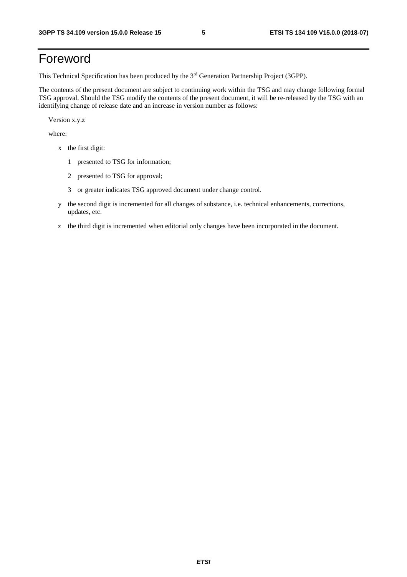# Foreword

This Technical Specification has been produced by the 3rd Generation Partnership Project (3GPP).

The contents of the present document are subject to continuing work within the TSG and may change following formal TSG approval. Should the TSG modify the contents of the present document, it will be re-released by the TSG with an identifying change of release date and an increase in version number as follows:

Version x.y.z

where:

- x the first digit:
	- 1 presented to TSG for information;
	- 2 presented to TSG for approval;
	- 3 or greater indicates TSG approved document under change control.
- y the second digit is incremented for all changes of substance, i.e. technical enhancements, corrections, updates, etc.
- z the third digit is incremented when editorial only changes have been incorporated in the document.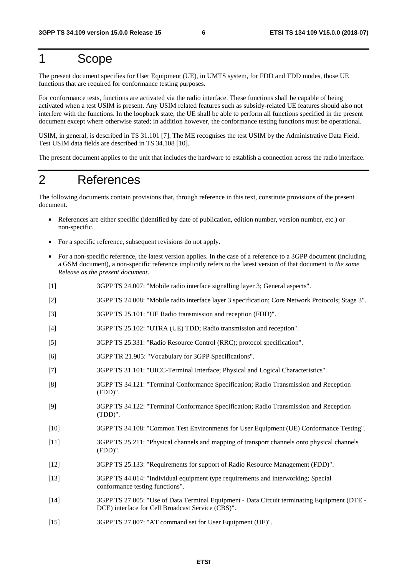# 1 Scope

The present document specifies for User Equipment (UE), in UMTS system, for FDD and TDD modes, those UE functions that are required for conformance testing purposes.

For conformance tests, functions are activated via the radio interface. These functions shall be capable of being activated when a test USIM is present. Any USIM related features such as subsidy-related UE features should also not interfere with the functions. In the loopback state, the UE shall be able to perform all functions specified in the present document except where otherwise stated; in addition however, the conformance testing functions must be operational.

USIM, in general, is described in TS 31.101 [7]. The ME recognises the test USIM by the Administrative Data Field. Test USIM data fields are described in TS 34.108 [10].

The present document applies to the unit that includes the hardware to establish a connection across the radio interface.

# 2 References

The following documents contain provisions that, through reference in this text, constitute provisions of the present document.

- References are either specific (identified by date of publication, edition number, version number, etc.) or non-specific.
- For a specific reference, subsequent revisions do not apply.
- For a non-specific reference, the latest version applies. In the case of a reference to a 3GPP document (including a GSM document), a non-specific reference implicitly refers to the latest version of that document *in the same Release as the present document*.
- [1] 3GPP TS 24.007: "Mobile radio interface signalling layer 3; General aspects".
- [2] 3GPP TS 24.008: "Mobile radio interface layer 3 specification; Core Network Protocols; Stage 3".
- [3] 3GPP TS 25.101: "UE Radio transmission and reception (FDD)".
- [4] 3GPP TS 25.102: "UTRA (UE) TDD; Radio transmission and reception".
- [5] 3GPP TS 25.331: "Radio Resource Control (RRC); protocol specification".
- [6] 3GPP TR 21.905: "Vocabulary for 3GPP Specifications".
- [7] 3GPP TS 31.101: "UICC-Terminal Interface; Physical and Logical Characteristics".
- [8] 3GPP TS 34.121: "Terminal Conformance Specification; Radio Transmission and Reception (FDD)".
- [9] 3GPP TS 34.122: "Terminal Conformance Specification; Radio Transmission and Reception (TDD)".
- [10] 3GPP TS 34.108: "Common Test Environments for User Equipment (UE) Conformance Testing".
- [11] 3GPP TS 25.211: "Physical channels and mapping of transport channels onto physical channels (FDD)".
- [12] 3GPP TS 25.133: "Requirements for support of Radio Resource Management (FDD)".
- [13] 3GPP TS 44.014: "Individual equipment type requirements and interworking; Special conformance testing functions".
- [14] 3GPP TS 27.005: "Use of Data Terminal Equipment Data Circuit terminating Equipment (DTE DCE) interface for Cell Broadcast Service (CBS)".
- [15] 3GPP TS 27.007: "AT command set for User Equipment (UE)".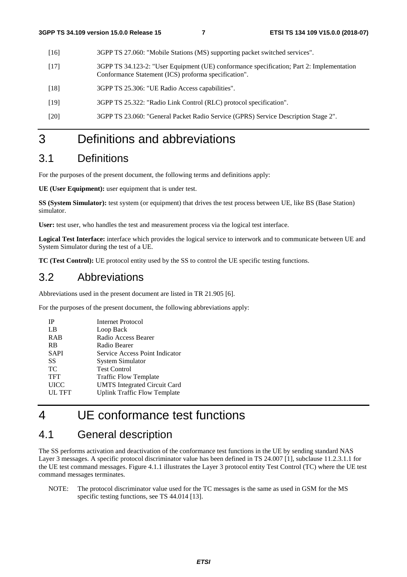- [16] 3GPP TS 27.060: "Mobile Stations (MS) supporting packet switched services".
- [17] 3GPP TS 34.123-2: "User Equipment (UE) conformance specification; Part 2: Implementation Conformance Statement (ICS) proforma specification".
- [18] 3GPP TS 25.306: "UE Radio Access capabilities".
- [19] 3GPP TS 25.322: "Radio Link Control (RLC) protocol specification".
- [20] 3GPP TS 23.060: "General Packet Radio Service (GPRS) Service Description Stage 2".

### 3 Definitions and abbreviations

### 3.1 Definitions

For the purposes of the present document, the following terms and definitions apply:

**UE (User Equipment):** user equipment that is under test.

**SS (System Simulator):** test system (or equipment) that drives the test process between UE, like BS (Base Station) simulator.

**User:** test user, who handles the test and measurement process via the logical test interface.

**Logical Test Interface:** interface which provides the logical service to interwork and to communicate between UE and System Simulator during the test of a UE.

**TC (Test Control):** UE protocol entity used by the SS to control the UE specific testing functions.

### 3.2 Abbreviations

Abbreviations used in the present document are listed in TR 21.905 [6].

For the purposes of the present document, the following abbreviations apply:

| IΡ            | Internet Protocol                   |
|---------------|-------------------------------------|
| LB            | Loop Back                           |
| <b>RAB</b>    | Radio Access Bearer                 |
| <b>RB</b>     | Radio Bearer                        |
| <b>SAPI</b>   | Service Access Point Indicator      |
| SS            | <b>System Simulator</b>             |
| <b>TC</b>     | <b>Test Control</b>                 |
| <b>TFT</b>    | Traffic Flow Template               |
| <b>UICC</b>   | <b>UMTS</b> Integrated Circuit Card |
| <b>UL TFT</b> | <b>Uplink Traffic Flow Template</b> |

# 4 UE conformance test functions

### 4.1 General description

The SS performs activation and deactivation of the conformance test functions in the UE by sending standard NAS Layer 3 messages. A specific protocol discriminator value has been defined in TS 24.007 [1], subclause 11.2.3.1.1 for the UE test command messages. Figure 4.1.1 illustrates the Layer 3 protocol entity Test Control (TC) where the UE test command messages terminates.

NOTE: The protocol discriminator value used for the TC messages is the same as used in GSM for the MS specific testing functions, see TS 44.014 [13].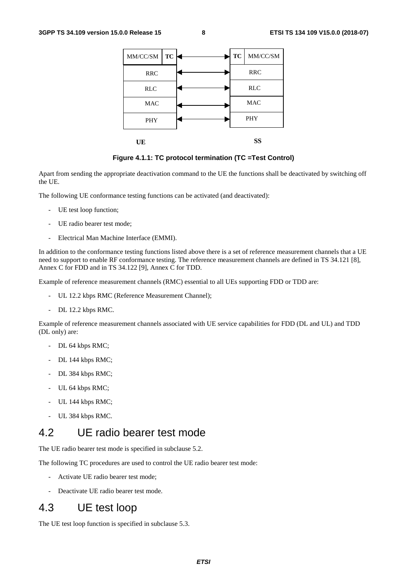| MM/CC/SM<br>TC | <b>TC</b>  | MM/CC/SM   |  |
|----------------|------------|------------|--|
| <b>RRC</b>     | <b>RRC</b> |            |  |
| <b>RLC</b>     | <b>RLC</b> |            |  |
| <b>MAC</b>     |            | <b>MAC</b> |  |
| PHY            |            | <b>PHY</b> |  |
| UE             |            | SS         |  |

**Figure 4.1.1: TC protocol termination (TC =Test Control)** 

Apart from sending the appropriate deactivation command to the UE the functions shall be deactivated by switching off the UE.

The following UE conformance testing functions can be activated (and deactivated):

- UE test loop function;
- UE radio bearer test mode;
- Electrical Man Machine Interface (EMMI).

In addition to the conformance testing functions listed above there is a set of reference measurement channels that a UE need to support to enable RF conformance testing. The reference measurement channels are defined in TS 34.121 [8], Annex C for FDD and in TS 34.122 [9], Annex C for TDD.

Example of reference measurement channels (RMC) essential to all UEs supporting FDD or TDD are:

- UL 12.2 kbps RMC (Reference Measurement Channel);
- DL 12.2 kbps RMC.

Example of reference measurement channels associated with UE service capabilities for FDD (DL and UL) and TDD (DL only) are:

- DL 64 kbps RMC;
- DL 144 kbps RMC;
- DL 384 kbps RMC;
- UL 64 kbps RMC;
- UL 144 kbps RMC;
- UL 384 kbps RMC.

### 4.2 UE radio bearer test mode

The UE radio bearer test mode is specified in subclause 5.2.

The following TC procedures are used to control the UE radio bearer test mode:

- Activate UE radio bearer test mode;
- Deactivate UE radio bearer test mode.

### 4.3 UE test loop

The UE test loop function is specified in subclause 5.3.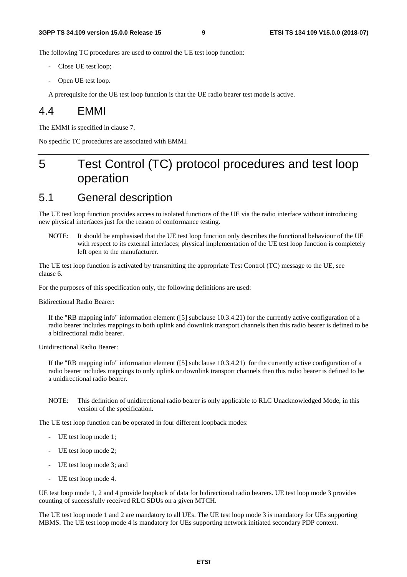The following TC procedures are used to control the UE test loop function:

- Close UE test loop;
- Open UE test loop.

A prerequisite for the UE test loop function is that the UE radio bearer test mode is active.

### 4.4 EMMI

The EMMI is specified in clause 7.

No specific TC procedures are associated with EMMI.

# 5 Test Control (TC) protocol procedures and test loop operation

# 5.1 General description

The UE test loop function provides access to isolated functions of the UE via the radio interface without introducing new physical interfaces just for the reason of conformance testing.

NOTE: It should be emphasised that the UE test loop function only describes the functional behaviour of the UE with respect to its external interfaces; physical implementation of the UE test loop function is completely left open to the manufacturer.

The UE test loop function is activated by transmitting the appropriate Test Control (TC) message to the UE, see clause 6.

For the purposes of this specification only, the following definitions are used:

Bidirectional Radio Bearer:

If the "RB mapping info" information element ([5] subclause 10.3.4.21) for the currently active configuration of a radio bearer includes mappings to both uplink and downlink transport channels then this radio bearer is defined to be a bidirectional radio bearer.

Unidirectional Radio Bearer:

If the "RB mapping info" information element ([5] subclause 10.3.4.21) for the currently active configuration of a radio bearer includes mappings to only uplink or downlink transport channels then this radio bearer is defined to be a unidirectional radio bearer.

NOTE: This definition of unidirectional radio bearer is only applicable to RLC Unacknowledged Mode, in this version of the specification.

The UE test loop function can be operated in four different loopback modes:

- UE test loop mode 1;
- UE test loop mode 2;
- UE test loop mode 3; and
- UE test loop mode 4.

UE test loop mode 1, 2 and 4 provide loopback of data for bidirectional radio bearers. UE test loop mode 3 provides counting of successfully received RLC SDUs on a given MTCH.

The UE test loop mode 1 and 2 are mandatory to all UEs. The UE test loop mode 3 is mandatory for UEs supporting MBMS. The UE test loop mode 4 is mandatory for UEs supporting network initiated secondary PDP context.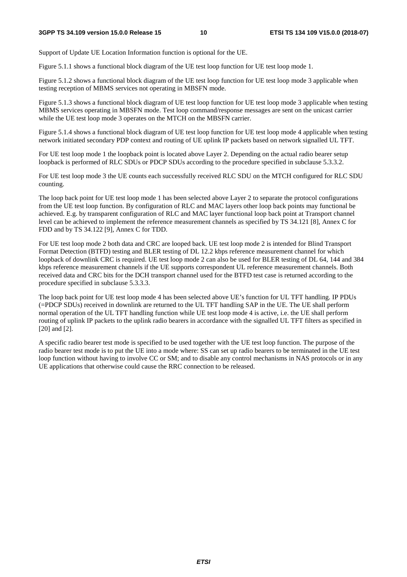Support of Update UE Location Information function is optional for the UE.

Figure 5.1.1 shows a functional block diagram of the UE test loop function for UE test loop mode 1.

Figure 5.1.2 shows a functional block diagram of the UE test loop function for UE test loop mode 3 applicable when testing reception of MBMS services not operating in MBSFN mode.

Figure 5.1.3 shows a functional block diagram of UE test loop function for UE test loop mode 3 applicable when testing MBMS services operating in MBSFN mode. Test loop command/response messages are sent on the unicast carrier while the UE test loop mode 3 operates on the MTCH on the MBSFN carrier.

Figure 5.1.4 shows a functional block diagram of UE test loop function for UE test loop mode 4 applicable when testing network initiated secondary PDP context and routing of UE uplink IP packets based on network signalled UL TFT.

For UE test loop mode 1 the loopback point is located above Layer 2. Depending on the actual radio bearer setup loopback is performed of RLC SDUs or PDCP SDUs according to the procedure specified in subclause 5.3.3.2.

For UE test loop mode 3 the UE counts each successfully received RLC SDU on the MTCH configured for RLC SDU counting.

The loop back point for UE test loop mode 1 has been selected above Layer 2 to separate the protocol configurations from the UE test loop function. By configuration of RLC and MAC layers other loop back points may functional be achieved. E.g. by transparent configuration of RLC and MAC layer functional loop back point at Transport channel level can be achieved to implement the reference measurement channels as specified by TS 34.121 [8], Annex C for FDD and by TS 34.122 [9], Annex C for TDD.

For UE test loop mode 2 both data and CRC are looped back. UE test loop mode 2 is intended for Blind Transport Format Detection (BTFD) testing and BLER testing of DL 12.2 kbps reference measurement channel for which loopback of downlink CRC is required. UE test loop mode 2 can also be used for BLER testing of DL 64, 144 and 384 kbps reference measurement channels if the UE supports correspondent UL reference measurement channels. Both received data and CRC bits for the DCH transport channel used for the BTFD test case is returned according to the procedure specified in subclause 5.3.3.3.

The loop back point for UE test loop mode 4 has been selected above UE's function for UL TFT handling. IP PDUs (=PDCP SDUs) received in downlink are returned to the UL TFT handling SAP in the UE. The UE shall perform normal operation of the UL TFT handling function while UE test loop mode 4 is active, i.e. the UE shall perform routing of uplink IP packets to the uplink radio bearers in accordance with the signalled UL TFT filters as specified in [20] and [2].

A specific radio bearer test mode is specified to be used together with the UE test loop function. The purpose of the radio bearer test mode is to put the UE into a mode where: SS can set up radio bearers to be terminated in the UE test loop function without having to involve CC or SM; and to disable any control mechanisms in NAS protocols or in any UE applications that otherwise could cause the RRC connection to be released.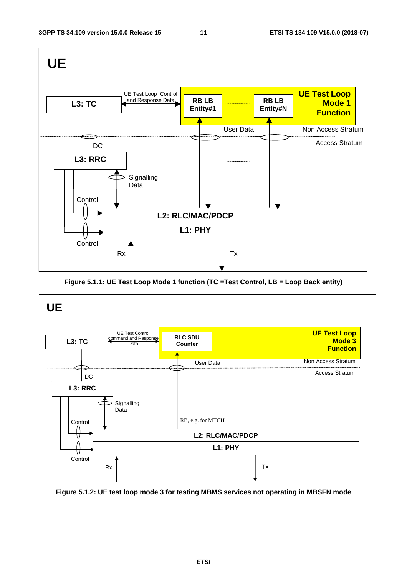

**Figure 5.1.1: UE Test Loop Mode 1 function (TC =Test Control, LB = Loop Back entity)** 



**Figure 5.1.2: UE test loop mode 3 for testing MBMS services not operating in MBSFN mode** 

*ETSI*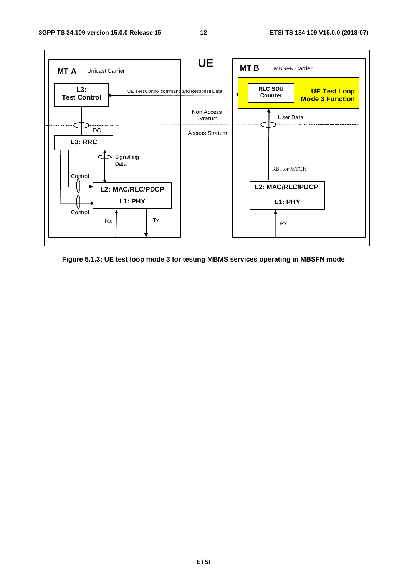

**Figure 5.1.3: UE test loop mode 3 for testing MBMS services operating in MBSFN mode**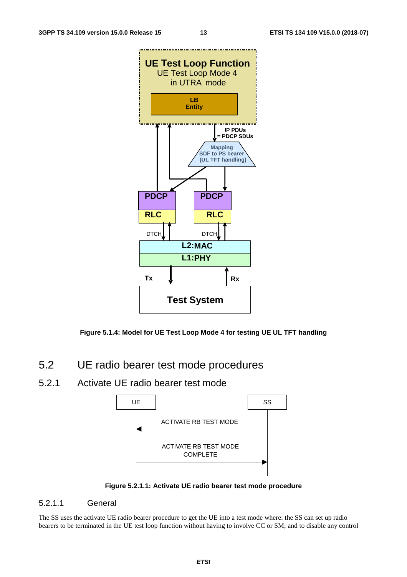



- 5.2 UE radio bearer test mode procedures
- 5.2.1 Activate UE radio bearer test mode



**Figure 5.2.1.1: Activate UE radio bearer test mode procedure** 

#### 5.2.1.1 General

The SS uses the activate UE radio bearer procedure to get the UE into a test mode where: the SS can set up radio bearers to be terminated in the UE test loop function without having to involve CC or SM; and to disable any control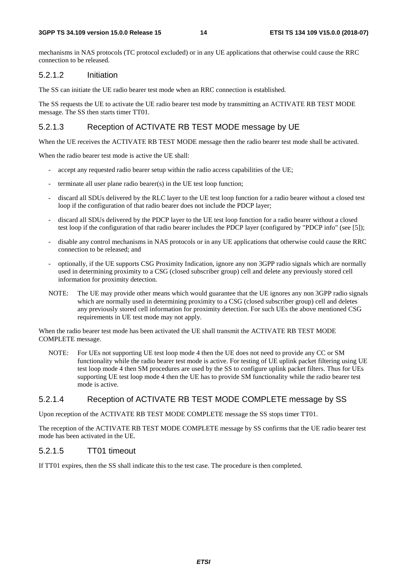mechanisms in NAS protocols (TC protocol excluded) or in any UE applications that otherwise could cause the RRC connection to be released.

#### 5.2.1.2 Initiation

The SS can initiate the UE radio bearer test mode when an RRC connection is established.

The SS requests the UE to activate the UE radio bearer test mode by transmitting an ACTIVATE RB TEST MODE message. The SS then starts timer TT01.

#### 5.2.1.3 Reception of ACTIVATE RB TEST MODE message by UE

When the UE receives the ACTIVATE RB TEST MODE message then the radio bearer test mode shall be activated.

When the radio bearer test mode is active the UE shall:

- accept any requested radio bearer setup within the radio access capabilities of the UE;
- terminate all user plane radio bearer(s) in the UE test loop function;
- discard all SDUs delivered by the RLC layer to the UE test loop function for a radio bearer without a closed test loop if the configuration of that radio bearer does not include the PDCP layer;
- discard all SDUs delivered by the PDCP layer to the UE test loop function for a radio bearer without a closed test loop if the configuration of that radio bearer includes the PDCP layer (configured by "PDCP info" (see [5]);
- disable any control mechanisms in NAS protocols or in any UE applications that otherwise could cause the RRC connection to be released; and
- optionally, if the UE supports CSG Proximity Indication, ignore any non 3GPP radio signals which are normally used in determining proximity to a CSG (closed subscriber group) cell and delete any previously stored cell information for proximity detection.
- NOTE: The UE may provide other means which would guarantee that the UE ignores any non 3GPP radio signals which are normally used in determining proximity to a CSG (closed subscriber group) cell and deletes any previously stored cell information for proximity detection. For such UEs the above mentioned CSG requirements in UE test mode may not apply.

When the radio bearer test mode has been activated the UE shall transmit the ACTIVATE RB TEST MODE COMPLETE message.

NOTE: For UEs not supporting UE test loop mode 4 then the UE does not need to provide any CC or SM functionality while the radio bearer test mode is active. For testing of UE uplink packet filtering using UE test loop mode 4 then SM procedures are used by the SS to configure uplink packet filters. Thus for UEs supporting UE test loop mode 4 then the UE has to provide SM functionality while the radio bearer test mode is active.

#### 5.2.1.4 Reception of ACTIVATE RB TEST MODE COMPLETE message by SS

Upon reception of the ACTIVATE RB TEST MODE COMPLETE message the SS stops timer TT01.

The reception of the ACTIVATE RB TEST MODE COMPLETE message by SS confirms that the UE radio bearer test mode has been activated in the UE.

#### 5.2.1.5 TT01 timeout

If TT01 expires, then the SS shall indicate this to the test case. The procedure is then completed.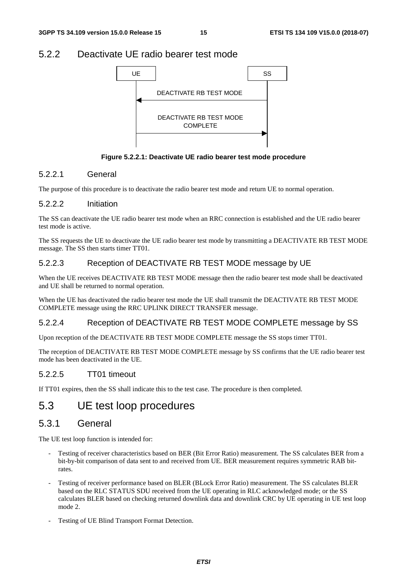### 5.2.2 Deactivate UE radio bearer test mode



**Figure 5.2.2.1: Deactivate UE radio bearer test mode procedure** 

#### 5.2.2.1 General

The purpose of this procedure is to deactivate the radio bearer test mode and return UE to normal operation.

#### 5.2.2.2 Initiation

The SS can deactivate the UE radio bearer test mode when an RRC connection is established and the UE radio bearer test mode is active.

The SS requests the UE to deactivate the UE radio bearer test mode by transmitting a DEACTIVATE RB TEST MODE message. The SS then starts timer TT01.

#### 5.2.2.3 Reception of DEACTIVATE RB TEST MODE message by UE

When the UE receives DEACTIVATE RB TEST MODE message then the radio bearer test mode shall be deactivated and UE shall be returned to normal operation.

When the UE has deactivated the radio bearer test mode the UE shall transmit the DEACTIVATE RB TEST MODE COMPLETE message using the RRC UPLINK DIRECT TRANSFER message.

#### 5.2.2.4 Reception of DEACTIVATE RB TEST MODE COMPLETE message by SS

Upon reception of the DEACTIVATE RB TEST MODE COMPLETE message the SS stops timer TT01.

The reception of DEACTIVATE RB TEST MODE COMPLETE message by SS confirms that the UE radio bearer test mode has been deactivated in the UE.

#### 5.2.2.5 TT01 timeout

If TT01 expires, then the SS shall indicate this to the test case. The procedure is then completed.

### 5.3 UE test loop procedures

### 5.3.1 General

The UE test loop function is intended for:

- Testing of receiver characteristics based on BER (Bit Error Ratio) measurement. The SS calculates BER from a bit-by-bit comparison of data sent to and received from UE. BER measurement requires symmetric RAB bitrates.
- Testing of receiver performance based on BLER (BLock Error Ratio) measurement. The SS calculates BLER based on the RLC STATUS SDU received from the UE operating in RLC acknowledged mode; or the SS calculates BLER based on checking returned downlink data and downlink CRC by UE operating in UE test loop mode 2.
- Testing of UE Blind Transport Format Detection.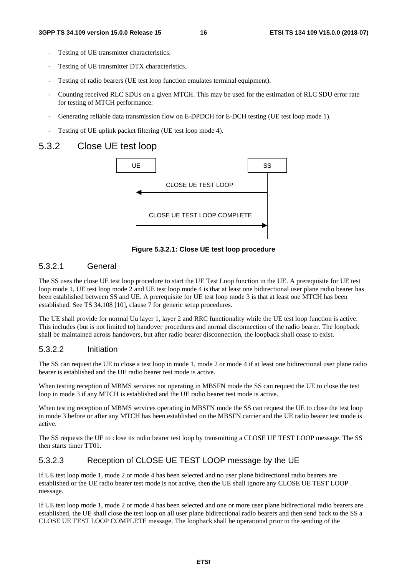- Testing of UE transmitter characteristics.
- Testing of UE transmitter DTX characteristics.
- Testing of radio bearers (UE test loop function emulates terminal equipment).
- Counting received RLC SDUs on a given MTCH. This may be used for the estimation of RLC SDU error rate for testing of MTCH performance.
- Generating reliable data transmission flow on E-DPDCH for E-DCH testing (UE test loop mode 1).
- Testing of UE uplink packet filtering (UE test loop mode 4).

#### 5.3.2 Close UE test loop



**Figure 5.3.2.1: Close UE test loop procedure** 

#### 5.3.2.1 General

The SS uses the close UE test loop procedure to start the UE Test Loop function in the UE. A prerequisite for UE test loop mode 1, UE test loop mode 2 and UE test loop mode 4 is that at least one bidirectional user plane radio bearer has been established between SS and UE. A prerequisite for UE test loop mode 3 is that at least one MTCH has been established. See TS 34.108 [10], clause 7 for generic setup procedures.

The UE shall provide for normal Uu layer 1, layer 2 and RRC functionality while the UE test loop function is active. This includes (but is not limited to) handover procedures and normal disconnection of the radio bearer. The loopback shall be maintained across handovers, but after radio bearer disconnection, the loopback shall cease to exist.

#### 5.3.2.2 Initiation

The SS can request the UE to close a test loop in mode 1, mode 2 or mode 4 if at least one bidirectional user plane radio bearer is established and the UE radio bearer test mode is active.

When testing reception of MBMS services not operating in MBSFN mode the SS can request the UE to close the test loop in mode 3 if any MTCH is established and the UE radio bearer test mode is active.

When testing reception of MBMS services operating in MBSFN mode the SS can request the UE to close the test loop in mode 3 before or after any MTCH has been established on the MBSFN carrier and the UE radio bearer test mode is active.

The SS requests the UE to close its radio bearer test loop by transmitting a CLOSE UE TEST LOOP message. The SS then starts timer TT01.

#### 5.3.2.3 Reception of CLOSE UE TEST LOOP message by the UE

If UE test loop mode 1, mode 2 or mode 4 has been selected and no user plane bidirectional radio bearers are established or the UE radio bearer test mode is not active, then the UE shall ignore any CLOSE UE TEST LOOP message.

If UE test loop mode 1, mode 2 or mode 4 has been selected and one or more user plane bidirectional radio bearers are established, the UE shall close the test loop on all user plane bidirectional radio bearers and then send back to the SS a CLOSE UE TEST LOOP COMPLETE message. The loopback shall be operational prior to the sending of the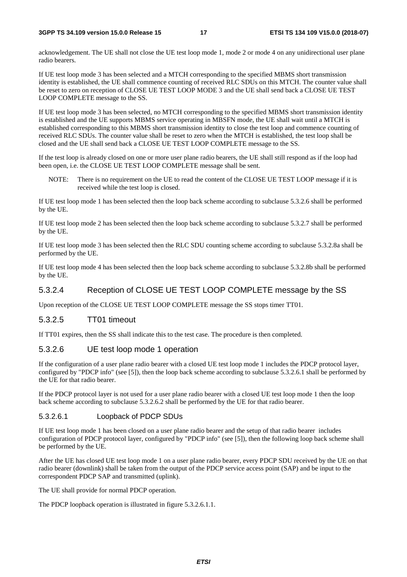acknowledgement. The UE shall not close the UE test loop mode 1, mode 2 or mode 4 on any unidirectional user plane radio bearers.

If UE test loop mode 3 has been selected and a MTCH corresponding to the specified MBMS short transmission identity is established, the UE shall commence counting of received RLC SDUs on this MTCH. The counter value shall be reset to zero on reception of CLOSE UE TEST LOOP MODE 3 and the UE shall send back a CLOSE UE TEST LOOP COMPLETE message to the SS.

If UE test loop mode 3 has been selected, no MTCH corresponding to the specified MBMS short transmission identity is established and the UE supports MBMS service operating in MBSFN mode, the UE shall wait until a MTCH is established corresponding to this MBMS short transmission identity to close the test loop and commence counting of received RLC SDUs. The counter value shall be reset to zero when the MTCH is established, the test loop shall be closed and the UE shall send back a CLOSE UE TEST LOOP COMPLETE message to the SS.

If the test loop is already closed on one or more user plane radio bearers, the UE shall still respond as if the loop had been open, i.e. the CLOSE UE TEST LOOP COMPLETE message shall be sent.

NOTE: There is no requirement on the UE to read the content of the CLOSE UE TEST LOOP message if it is received while the test loop is closed.

If UE test loop mode 1 has been selected then the loop back scheme according to subclause 5.3.2.6 shall be performed by the UE.

If UE test loop mode 2 has been selected then the loop back scheme according to subclause 5.3.2.7 shall be performed by the UE.

If UE test loop mode 3 has been selected then the RLC SDU counting scheme according to subclause 5.3.2.8a shall be performed by the UE.

If UE test loop mode 4 has been selected then the loop back scheme according to subclause 5.3.2.8b shall be performed by the UE.

#### 5.3.2.4 Reception of CLOSE UE TEST LOOP COMPLETE message by the SS

Upon reception of the CLOSE UE TEST LOOP COMPLETE message the SS stops timer TT01.

#### 5.3.2.5 TT01 timeout

If TT01 expires, then the SS shall indicate this to the test case. The procedure is then completed.

#### 5.3.2.6 UE test loop mode 1 operation

If the configuration of a user plane radio bearer with a closed UE test loop mode 1 includes the PDCP protocol layer, configured by "PDCP info" (see [5]), then the loop back scheme according to subclause 5.3.2.6.1 shall be performed by the UE for that radio bearer.

If the PDCP protocol layer is not used for a user plane radio bearer with a closed UE test loop mode 1 then the loop back scheme according to subclause 5.3.2.6.2 shall be performed by the UE for that radio bearer.

#### 5.3.2.6.1 Loopback of PDCP SDUs

If UE test loop mode 1 has been closed on a user plane radio bearer and the setup of that radio bearer includes configuration of PDCP protocol layer, configured by "PDCP info" (see [5]), then the following loop back scheme shall be performed by the UE.

After the UE has closed UE test loop mode 1 on a user plane radio bearer, every PDCP SDU received by the UE on that radio bearer (downlink) shall be taken from the output of the PDCP service access point (SAP) and be input to the correspondent PDCP SAP and transmitted (uplink).

The UE shall provide for normal PDCP operation.

The PDCP loopback operation is illustrated in figure 5.3.2.6.1.1.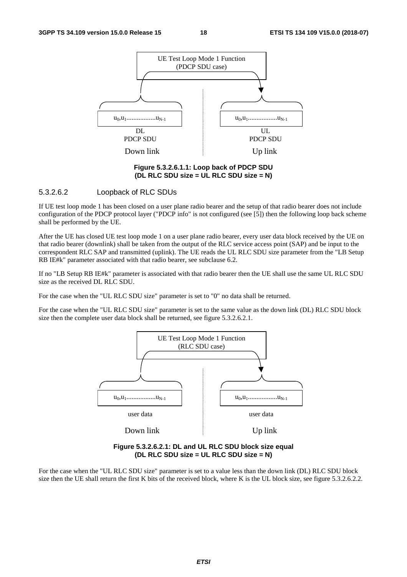

**Figure 5.3.2.6.1.1: Loop back of PDCP SDU (DL RLC SDU size = UL RLC SDU size = N)** 

#### 5.3.2.6.2 Loopback of RLC SDUs

If UE test loop mode 1 has been closed on a user plane radio bearer and the setup of that radio bearer does not include configuration of the PDCP protocol layer ("PDCP info" is not configured (see  $[5]$ ) then the following loop back scheme shall be performed by the UE.

After the UE has closed UE test loop mode 1 on a user plane radio bearer, every user data block received by the UE on that radio bearer (downlink) shall be taken from the output of the RLC service access point (SAP) and be input to the correspondent RLC SAP and transmitted (uplink). The UE reads the UL RLC SDU size parameter from the "LB Setup RB IE#k" parameter associated with that radio bearer, see subclause 6.2.

If no "LB Setup RB IE#k" parameter is associated with that radio bearer then the UE shall use the same UL RLC SDU size as the received DL RLC SDU.

For the case when the "UL RLC SDU size" parameter is set to "0" no data shall be returned.

For the case when the "UL RLC SDU size" parameter is set to the same value as the down link (DL) RLC SDU block size then the complete user data block shall be returned, see figure 5.3.2.6.2.1.



**Figure 5.3.2.6.2.1: DL and UL RLC SDU block size equal (DL RLC SDU size = UL RLC SDU size = N)** 

For the case when the "UL RLC SDU size" parameter is set to a value less than the down link (DL) RLC SDU block size then the UE shall return the first K bits of the received block, where K is the UL block size, see figure 5.3.2.6.2.2.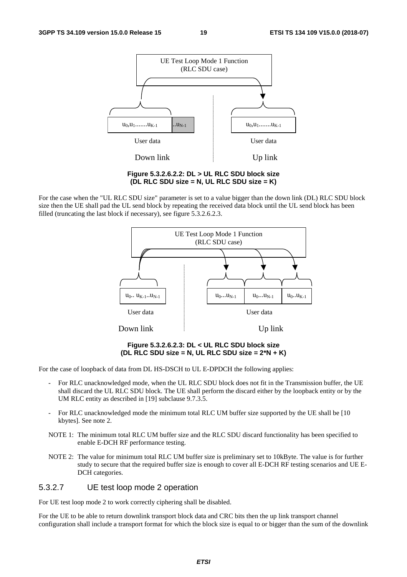

**Figure 5.3.2.6.2.2: DL > UL RLC SDU block size (DL RLC SDU size = N, UL RLC SDU size = K)** 

For the case when the "UL RLC SDU size" parameter is set to a value bigger than the down link (DL) RLC SDU block size then the UE shall pad the UL send block by repeating the received data block until the UL send block has been filled (truncating the last block if necessary), see figure 5.3.2.6.2.3.



**Figure 5.3.2.6.2.3: DL < UL RLC SDU block size (DL RLC SDU size = N, UL RLC SDU size = 2\*N + K)** 

For the case of loopback of data from DL HS-DSCH to UL E-DPDCH the following applies:

- For RLC unacknowledged mode, when the UL RLC SDU block does not fit in the Transmission buffer, the UE shall discard the UL RLC SDU block. The UE shall perform the discard either by the loopback entity or by the UM RLC entity as described in [19] subclause 9.7.3.5.
- For RLC unacknowledged mode the minimum total RLC UM buffer size supported by the UE shall be [10] kbytes]. See note 2.
- NOTE 1: The minimum total RLC UM buffer size and the RLC SDU discard functionality has been specified to enable E-DCH RF performance testing.
- NOTE 2: The value for minimum total RLC UM buffer size is preliminary set to 10kByte. The value is for further study to secure that the required buffer size is enough to cover all E-DCH RF testing scenarios and UE E-DCH categories.

#### 5.3.2.7 UE test loop mode 2 operation

For UE test loop mode 2 to work correctly ciphering shall be disabled.

For the UE to be able to return downlink transport block data and CRC bits then the up link transport channel configuration shall include a transport format for which the block size is equal to or bigger than the sum of the downlink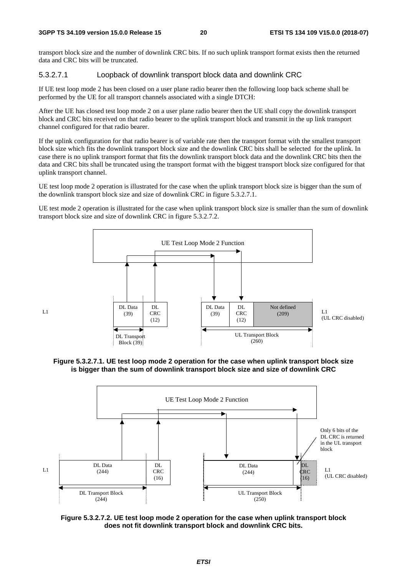$L<sub>1</sub>$ 

transport block size and the number of downlink CRC bits. If no such uplink transport format exists then the returned data and CRC bits will be truncated.

#### 5.3.2.7.1 Loopback of downlink transport block data and downlink CRC

If UE test loop mode 2 has been closed on a user plane radio bearer then the following loop back scheme shall be performed by the UE for all transport channels associated with a single DTCH:

After the UE has closed test loop mode 2 on a user plane radio bearer then the UE shall copy the downlink transport block and CRC bits received on that radio bearer to the uplink transport block and transmit in the up link transport channel configured for that radio bearer.

If the uplink configuration for that radio bearer is of variable rate then the transport format with the smallest transport block size which fits the downlink transport block size and the downlink CRC bits shall be selected for the uplink. In case there is no uplink transport format that fits the downlink transport block data and the downlink CRC bits then the data and CRC bits shall be truncated using the transport format with the biggest transport block size configured for that uplink transport channel.

UE test loop mode 2 operation is illustrated for the case when the uplink transport block size is bigger than the sum of the downlink transport block size and size of downlink CRC in figure 5.3.2.7.1.

UE test mode 2 operation is illustrated for the case when uplink transport block size is smaller than the sum of downlink transport block size and size of downlink CRC in figure 5.3.2.7.2.



**Figure 5.3.2.7.1. UE test loop mode 2 operation for the case when uplink transport block size is bigger than the sum of downlink transport block size and size of downlink CRC** 



**Figure 5.3.2.7.2. UE test loop mode 2 operation for the case when uplink transport block does not fit downlink transport block and downlink CRC bits.**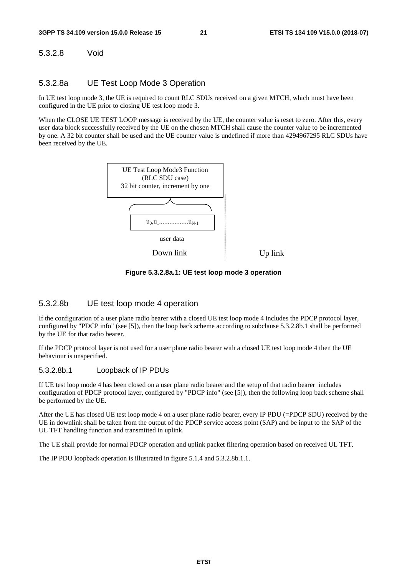#### 5.3.2.8 Void

#### 5.3.2.8a UE Test Loop Mode 3 Operation

In UE test loop mode 3, the UE is required to count RLC SDUs received on a given MTCH, which must have been configured in the UE prior to closing UE test loop mode 3.

When the CLOSE UE TEST LOOP message is received by the UE, the counter value is reset to zero. After this, every user data block successfully received by the UE on the chosen MTCH shall cause the counter value to be incremented by one. A 32 bit counter shall be used and the UE counter value is undefined if more than 4294967295 RLC SDUs have been received by the UE.



**Figure 5.3.2.8a.1: UE test loop mode 3 operation** 

#### 5.3.2.8b UE test loop mode 4 operation

If the configuration of a user plane radio bearer with a closed UE test loop mode 4 includes the PDCP protocol layer, configured by "PDCP info" (see [5]), then the loop back scheme according to subclause 5.3.2.8b.1 shall be performed by the UE for that radio bearer.

If the PDCP protocol layer is not used for a user plane radio bearer with a closed UE test loop mode 4 then the UE behaviour is unspecified.

#### 5.3.2.8b.1 Loopback of IP PDUs

If UE test loop mode 4 has been closed on a user plane radio bearer and the setup of that radio bearer includes configuration of PDCP protocol layer, configured by "PDCP info" (see [5]), then the following loop back scheme shall be performed by the UE.

After the UE has closed UE test loop mode 4 on a user plane radio bearer, every IP PDU (=PDCP SDU) received by the UE in downlink shall be taken from the output of the PDCP service access point (SAP) and be input to the SAP of the UL TFT handling function and transmitted in uplink.

The UE shall provide for normal PDCP operation and uplink packet filtering operation based on received UL TFT.

The IP PDU loopback operation is illustrated in figure 5.1.4 and 5.3.2.8b.1.1.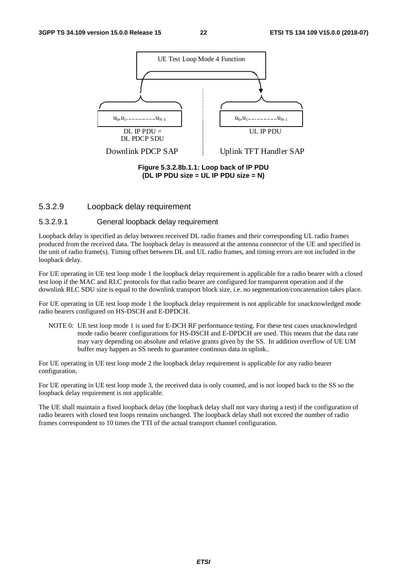

#### 5.3.2.9 Loopback delay requirement

#### 5.3.2.9.1 General loopback delay requirement

Loopback delay is specified as delay between received DL radio frames and their corresponding UL radio frames produced from the received data. The loopback delay is measured at the antenna connector of the UE and specified in the unit of radio frame(s). Timing offset between DL and UL radio frames, and timing errors are not included in the loopback delay.

For UE operating in UE test loop mode 1 the loopback delay requirement is applicable for a radio bearer with a closed test loop if the MAC and RLC protocols for that radio bearer are configured for transparent operation and if the downlink RLC SDU size is equal to the downlink transport block size, i.e. no segmentation/concatenation takes place.

For UE operating in UE test loop mode 1 the loopback delay requirement is not applicable for unacknowledged mode radio bearers configured on HS-DSCH and E-DPDCH.

NOTE 0: UE test loop mode 1 is used for E-DCH RF performance testing. For these test cases unacknowledged mode radio bearer configurations for HS-DSCH and E-DPDCH are used. This means that the data rate may vary depending on absolute and relative grants given by the SS. In addition overflow of UE UM buffer may happen as SS needs to guarantee continous data in uplink..

For UE operating in UE test loop mode 2 the loopback delay requirement is applicable for any radio bearer configuration.

For UE operating in UE test loop mode 3, the received data is only counted, and is not looped back to the SS so the loopback delay requirement is not applicable.

The UE shall maintain a fixed loopback delay (the loopback delay shall not vary during a test) if the configuration of radio bearers with closed test loops remains unchanged. The loopback delay shall not exceed the number of radio frames correspondent to 10 times the TTI of the actual transport channel configuration.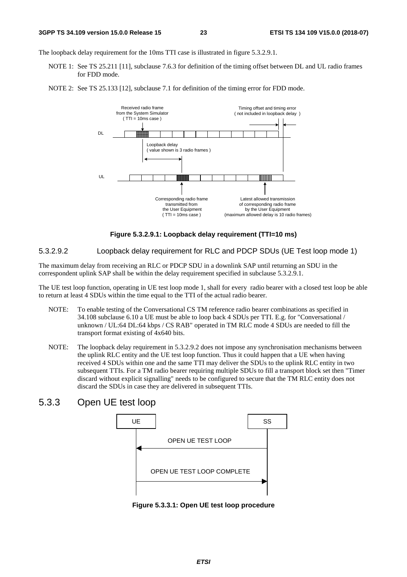The loopback delay requirement for the 10ms TTI case is illustrated in figure 5.3.2.9.1.

- NOTE 1: See TS 25.211 [11], subclause 7.6.3 for definition of the timing offset between DL and UL radio frames for FDD mode.
- NOTE 2: See TS 25.133 [12], subclause 7.1 for definition of the timing error for FDD mode.



**Figure 5.3.2.9.1: Loopback delay requirement (TTI=10 ms)** 

#### 5.3.2.9.2 Loopback delay requirement for RLC and PDCP SDUs (UE Test loop mode 1)

The maximum delay from receiving an RLC or PDCP SDU in a downlink SAP until returning an SDU in the correspondent uplink SAP shall be within the delay requirement specified in subclause 5.3.2.9.1.

The UE test loop function, operating in UE test loop mode 1, shall for every radio bearer with a closed test loop be able to return at least 4 SDUs within the time equal to the TTI of the actual radio bearer.

- NOTE: To enable testing of the Conversational CS TM reference radio bearer combinations as specified in 34.108 subclause 6.10 a UE must be able to loop back 4 SDUs per TTI. E.g. for "Conversational / unknown / UL:64 DL:64 kbps / CS RAB" operated in TM RLC mode 4 SDUs are needed to fill the transport format existing of 4x640 bits.
- NOTE: The loopback delay requirement in 5.3.2.9.2 does not impose any synchronisation mechanisms between the uplink RLC entity and the UE test loop function. Thus it could happen that a UE when having received 4 SDUs within one and the same TTI may deliver the SDUs to the uplink RLC entity in two subsequent TTIs. For a TM radio bearer requiring multiple SDUs to fill a transport block set then "Timer discard without explicit signalling" needs to be configured to secure that the TM RLC entity does not discard the SDUs in case they are delivered in subsequent TTIs.

### 5.3.3 Open UE test loop



**Figure 5.3.3.1: Open UE test loop procedure**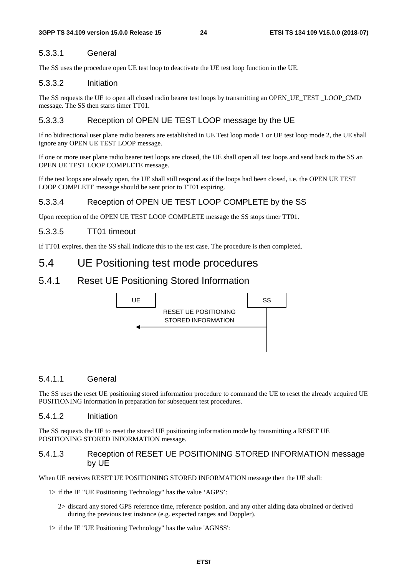#### 5.3.3.1 General

The SS uses the procedure open UE test loop to deactivate the UE test loop function in the UE.

#### 5.3.3.2 Initiation

The SS requests the UE to open all closed radio bearer test loops by transmitting an OPEN\_UE\_TEST \_LOOP\_CMD message. The SS then starts timer TT01.

#### 5.3.3.3 Reception of OPEN UE TEST LOOP message by the UE

If no bidirectional user plane radio bearers are established in UE Test loop mode 1 or UE test loop mode 2, the UE shall ignore any OPEN UE TEST LOOP message.

If one or more user plane radio bearer test loops are closed, the UE shall open all test loops and send back to the SS an OPEN UE TEST LOOP COMPLETE message.

If the test loops are already open, the UE shall still respond as if the loops had been closed, i.e. the OPEN UE TEST LOOP COMPLETE message should be sent prior to TT01 expiring.

#### 5.3.3.4 Reception of OPEN UE TEST LOOP COMPLETE by the SS

Upon reception of the OPEN UE TEST LOOP COMPLETE message the SS stops timer TT01.

#### 5.3.3.5 TT01 timeout

If TT01 expires, then the SS shall indicate this to the test case. The procedure is then completed.

### 5.4 UE Positioning test mode procedures

#### 5.4.1 Reset UE Positioning Stored Information



#### 5.4.1.1 General

The SS uses the reset UE positioning stored information procedure to command the UE to reset the already acquired UE POSITIONING information in preparation for subsequent test procedures.

#### 5.4.1.2 Initiation

The SS requests the UE to reset the stored UE positioning information mode by transmitting a RESET UE POSITIONING STORED INFORMATION message.

#### 5.4.1.3 Reception of RESET UE POSITIONING STORED INFORMATION message by UE

When UE receives RESET UE POSITIONING STORED INFORMATION message then the UE shall:

1> if the IE "UE Positioning Technology" has the value 'AGPS':

- 2> discard any stored GPS reference time, reference position, and any other aiding data obtained or derived during the previous test instance (e.g. expected ranges and Doppler).
- 1> if the IE "UE Positioning Technology" has the value 'AGNSS':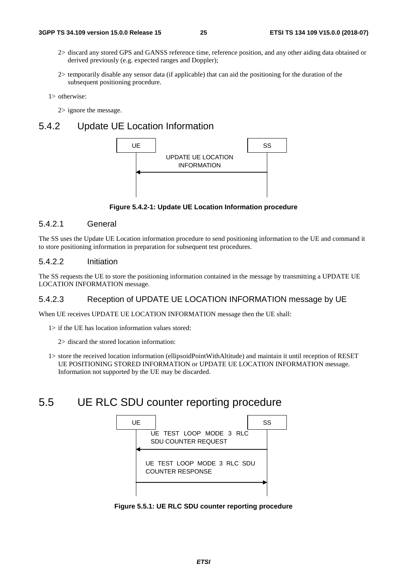- 2> discard any stored GPS and GANSS reference time, reference position, and any other aiding data obtained or derived previously (e.g. expected ranges and Doppler);
- 2> temporarily disable any sensor data (if applicable) that can aid the positioning for the duration of the subsequent positioning procedure.

1> otherwise:

2> ignore the message.

### 5.4.2 Update UE Location Information



**Figure 5.4.2-1: Update UE Location Information procedure** 

#### 5.4.2.1 General

The SS uses the Update UE Location information procedure to send positioning information to the UE and command it to store positioning information in preparation for subsequent test procedures.

#### 5.4.2.2 Initiation

The SS requests the UE to store the positioning information contained in the message by transmitting a UPDATE UE LOCATION INFORMATION message.

#### 5.4.2.3 Reception of UPDATE UE LOCATION INFORMATION message by UE

When UE receives UPDATE UE LOCATION INFORMATION message then the UE shall:

- 1> if the UE has location information values stored:
	- 2> discard the stored location information:
- 1> store the received location information (ellipsoidPointWithAltitude) and maintain it until reception of RESET UE POSITIONING STORED INFORMATION or UPDATE UE LOCATION INFORMATION message. Information not supported by the UE may be discarded.

# 5.5 UE RLC SDU counter reporting procedure



**Figure 5.5.1: UE RLC SDU counter reporting procedure**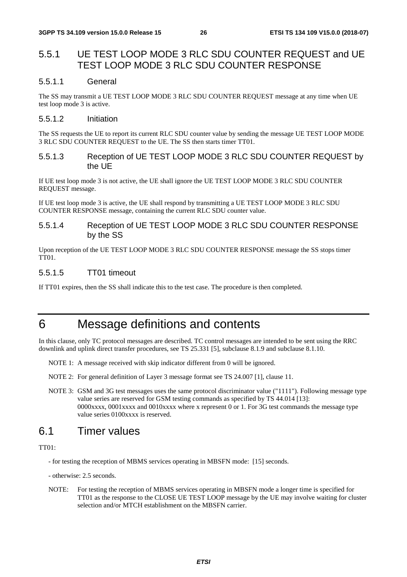### 5.5.1 UE TEST LOOP MODE 3 RLC SDU COUNTER REQUEST and UE TEST LOOP MODE 3 RLC SDU COUNTER RESPONSE

#### 5.5.1.1 General

The SS may transmit a UE TEST LOOP MODE 3 RLC SDU COUNTER REQUEST message at any time when UE test loop mode 3 is active.

#### 5.5.1.2 Initiation

The SS requests the UE to report its current RLC SDU counter value by sending the message UE TEST LOOP MODE 3 RLC SDU COUNTER REQUEST to the UE. The SS then starts timer TT01.

#### 5.5.1.3 Reception of UE TEST LOOP MODE 3 RLC SDU COUNTER REQUEST by the UE

If UE test loop mode 3 is not active, the UE shall ignore the UE TEST LOOP MODE 3 RLC SDU COUNTER REQUEST message.

If UE test loop mode 3 is active, the UE shall respond by transmitting a UE TEST LOOP MODE 3 RLC SDU COUNTER RESPONSE message, containing the current RLC SDU counter value.

#### 5.5.1.4 Reception of UE TEST LOOP MODE 3 RLC SDU COUNTER RESPONSE by the SS

Upon reception of the UE TEST LOOP MODE 3 RLC SDU COUNTER RESPONSE message the SS stops timer TT01.

#### 5.5.1.5 TT01 timeout

If TT01 expires, then the SS shall indicate this to the test case. The procedure is then completed.

# 6 Message definitions and contents

In this clause, only TC protocol messages are described. TC control messages are intended to be sent using the RRC downlink and uplink direct transfer procedures, see TS 25.331 [5], subclause 8.1.9 and subclause 8.1.10.

- NOTE 1: A message received with skip indicator different from 0 will be ignored.
- NOTE 2: For general definition of Layer 3 message format see TS 24.007 [1], clause 11.
- NOTE 3: GSM and 3G test messages uses the same protocol discriminator value ("1111"). Following message type value series are reserved for GSM testing commands as specified by TS 44.014 [13]: 0000xxxx, 0001xxxx and 0010xxxx where x represent 0 or 1. For 3G test commands the message type value series 0100xxxx is reserved.

### 6.1 Timer values

#### TT01:

- for testing the reception of MBMS services operating in MBSFN mode: [15] seconds.

- otherwise: 2.5 seconds.
- NOTE: For testing the reception of MBMS services operating in MBSFN mode a longer time is specified for TT01 as the response to the CLOSE UE TEST LOOP message by the UE may involve waiting for cluster selection and/or MTCH establishment on the MBSFN carrier.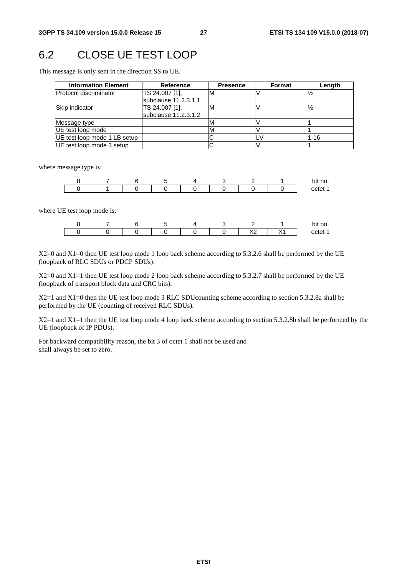### 6.2 CLOSE UE TEST LOOP

This message is only sent in the direction SS to UE.

| <b>Information Element</b>   | <b>Reference</b>                       | <b>Presence</b> | <b>Format</b> | Length        |
|------------------------------|----------------------------------------|-----------------|---------------|---------------|
| Protocol discriminator       | TS 24.007 [1],<br>subclause 11.2.3.1.1 | ΙM              |               |               |
| Skip indicator               | TS 24.007 [1],<br>subclause 11.2.3.1.2 | ıΜ              |               | $\frac{1}{2}$ |
| Message type                 |                                        | M               |               |               |
| UE test loop mode            |                                        | M               |               |               |
| UE test loop mode 1 LB setup |                                        |                 |               | $1 - 16$      |
| UE test loop mode 3 setup    |                                        |                 |               |               |

where message type is:

|  |  |  |  | bit no. |
|--|--|--|--|---------|
|  |  |  |  | ∩ct     |

where UE test loop mode is:

|  |  |  |               | bit no. |
|--|--|--|---------------|---------|
|  |  |  | . .<br>$\sim$ |         |

X2=0 and X1=0 then UE test loop mode 1 loop back scheme according to 5.3.2.6 shall be performed by the UE (loopback of RLC SDUs or PDCP SDUs).

X2=0 and X1=1 then UE test loop mode 2 loop back scheme according to 5.3.2.7 shall be performed by the UE (loopback of transport block data and CRC bits).

X2=1 and X1=0 then the UE test loop mode 3 RLC SDUcounting scheme according to section 5.3.2.8a shall be performed by the UE (counting of received RLC SDUs).

X2=1 and X1=1 then the UE test loop mode 4 loop back scheme according to section 5.3.2.8b shall be performed by the UE (loopback of IP PDUs).

For backward compatibility reason, the bit 3 of octet 1 shall not be used and shall always be set to zero.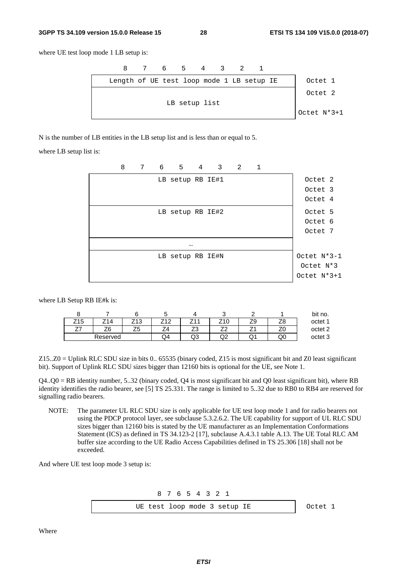#### **3GPP TS 34.109 version 15.0.0 Release 15 28 ETSI TS 134 109 V15.0.0 (2018-07)**

where UE test loop mode 1 LB setup is:



N is the number of LB entities in the LB setup list and is less than or equal to 5.

where LB setup list is:



where LB Setup RB IE#k is:

| ີ   |          |                 | ۰.  |     | ີ                        |    |    | bit no. |
|-----|----------|-----------------|-----|-----|--------------------------|----|----|---------|
| Z15 | 714      | Z <sub>13</sub> | 740 | 711 | $\sqrt{2}$<br>$\sim$ 1   | 29 | ∠⊂ | octet 1 |
| --  | ZЄ       | 75<br>دے        | –   | ںے  | $\overline{\phantom{a}}$ |    |    | octet 2 |
|     | Reserved |                 | Q4  | Q3  | w                        | w  | QC | octet 3 |

Z15..Z0 = Uplink RLC SDU size in bits 0.. 65535 (binary coded, Z15 is most significant bit and Z0 least significant bit). Support of Uplink RLC SDU sizes bigger than 12160 bits is optional for the UE, see Note 1.

 $Q4. Q0 = RB$  identity number, 5..32 (binary coded,  $Q4$  is most significant bit and  $Q0$  least significant bit), where RB identity identifies the radio bearer, see [5] TS 25.331. The range is limited to 5..32 due to RB0 to RB4 are reserved for signalling radio bearers.

NOTE: The parameter UL RLC SDU size is only applicable for UE test loop mode 1 and for radio bearers not using the PDCP protocol layer, see subclause 5.3.2.6.2. The UE capability for support of UL RLC SDU sizes bigger than 12160 bits is stated by the UE manufacturer as an Implementation Conformations Statement (ICS) as defined in TS 34.123-2 [17], subclause A.4.3.1 table A.13. The UE Total RLC AM buffer size according to the UE Radio Access Capabilities defined in TS 25.306 [18] shall not be exceeded.

And where UE test loop mode 3 setup is:

8 7 6 5 4 3 2 1

UE test loop mode 3 setup IE | Octet 1

Where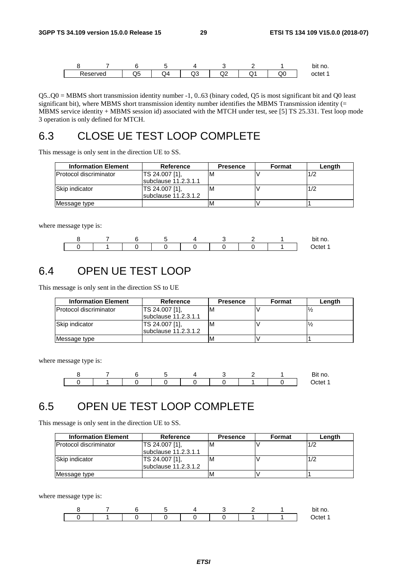|         |    |                  |     |   |            |    | bit no. |
|---------|----|------------------|-----|---|------------|----|---------|
| eserved | Q5 | 54<br>$\tilde{}$ | سرت | ∽ | $\check{}$ | שע | octet   |

Q5..Q0 = MBMS short transmission identity number -1, 0..63 (binary coded, Q5 is most significant bit and Q0 least significant bit), where MBMS short transmission identity number identifies the MBMS Transmission identity (= MBMS service identity + MBMS session id) associated with the MTCH under test, see [5] TS 25.331. Test loop mode 3 operation is only defined for MTCH.

# 6.3 CLOSE UE TEST LOOP COMPLETE

This message is only sent in the direction UE to SS.

| <b>Information Element</b>     | Reference            | <b>Presence</b> | <b>Format</b> | Length |
|--------------------------------|----------------------|-----------------|---------------|--------|
| <b>IProtocol discriminator</b> | TS 24.007 [1].       | ıΜ              |               | 1/2    |
|                                | subclause 11.2.3.1.1 |                 |               |        |
| Skip indicator                 | TS 24.007 [1],       | ıΜ              |               | 1/2    |
|                                | subclause 11.2.3.1.2 |                 |               |        |
| Message type                   |                      | ιM              |               |        |

where message type is:

|  |  |  |  | bit<br>no. |
|--|--|--|--|------------|
|  |  |  |  | . .        |

### 6.4 OPEN UE TEST LOOP

This message is only sent in the direction SS to UE

| <b>Information Element</b> | Reference            | <b>Presence</b> | Format | Length |
|----------------------------|----------------------|-----------------|--------|--------|
| Protocol discriminator     | TS 24.007 [1],       | ιM              |        |        |
|                            | subclause 11.2.3.1.1 |                 |        |        |
| Skip indicator             | TS 24.007 [1].       | M               |        |        |
|                            | subclause 11.2.3.1.2 |                 |        |        |
| Message type               |                      | M               |        |        |

where message type is:



# 6.5 OPEN UE TEST LOOP COMPLETE

This message is only sent in the direction UE to SS.

| <b>Information Element</b> | <b>Reference</b>                               | <b>Presence</b> | Format | Length |
|----------------------------|------------------------------------------------|-----------------|--------|--------|
| lProtocol discriminator    | TS 24.007 [1].<br><b>Isubclause 11.2.3.1.1</b> | ιM              |        | 1/2    |
| Skip indicator             | TS 24.007 [1].<br>subclause 11.2.3.1.2         | ιM              |        | 1/2    |
| Message type               |                                                | M               |        |        |

where message type is:

|  |  |  |  | bit no. |
|--|--|--|--|---------|
|  |  |  |  | م+ہ7    |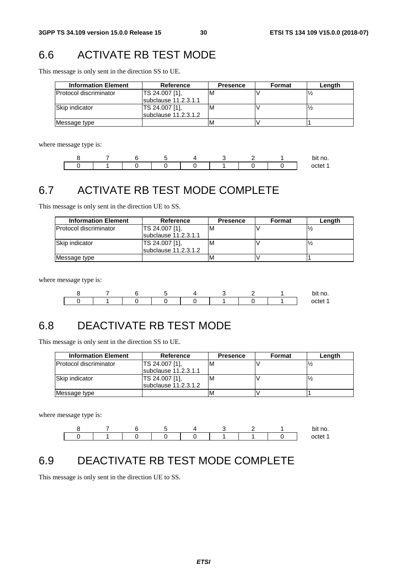# 6.6 ACTIVATE RB TEST MODE

This message is only sent in the direction SS to UE.

| <b>Information Element</b>    | Reference            | <b>Presence</b> | Format | Length |
|-------------------------------|----------------------|-----------------|--------|--------|
| <b>Protocol discriminator</b> | TS 24.007 [1].       | ΙM              |        |        |
|                               | subclause 11.2.3.1.1 |                 |        |        |
| Skip indicator                | TS 24.007 [1].       | M               |        |        |
|                               | subclause 11.2.3.1.2 |                 |        |        |
| Message type                  |                      |                 |        |        |

where message type is:

|  |  |  |  | bit no. |
|--|--|--|--|---------|
|  |  |  |  |         |

# 6.7 ACTIVATE RB TEST MODE COMPLETE

This message is only sent in the direction UE to SS.

| <b>Information Element</b>     | Reference                              | <b>Presence</b> | Format | Length |
|--------------------------------|----------------------------------------|-----------------|--------|--------|
| <b>IProtocol discriminator</b> | TS 24.007 [1].<br>subclause 11.2.3.1.1 | ιM              |        |        |
| Skip indicator                 | TS 24.007 [1],<br>subclause 11.2.3.1.2 | ΙM              |        |        |
| Message type                   |                                        | IV              |        |        |

where message type is:

|  |  |  |  | bit no. |
|--|--|--|--|---------|
|  |  |  |  |         |

# 6.8 DEACTIVATE RB TEST MODE

This message is only sent in the direction SS to UE.

| <b>Information Element</b>     | <b>Reference</b>       | <b>Presence</b> | Format | Length |
|--------------------------------|------------------------|-----------------|--------|--------|
| <b>IProtocol discriminator</b> | TS 24.007 [1].         | ιM              |        |        |
|                                | Isubclause 11.2.3.1.1  |                 |        |        |
| Skip indicator                 | TS 24.007 [1],         | M               |        |        |
|                                | subclause $11.2.3.1.2$ |                 |        |        |
| Message type                   |                        | M               |        |        |

where message type is:



# 6.9 DEACTIVATE RB TEST MODE COMPLETE

This message is only sent in the direction UE to SS.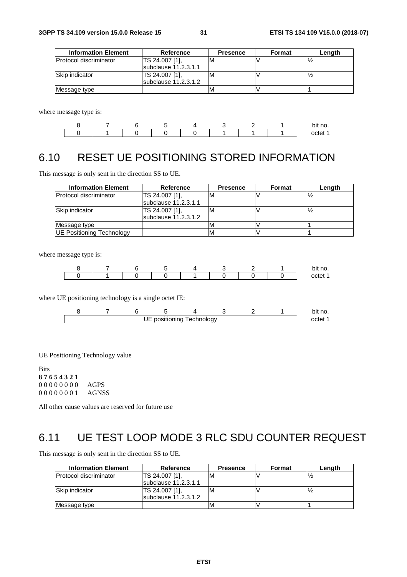| <b>Information Element</b> | Reference              | <b>Presence</b> | <b>Format</b> | Lenath |
|----------------------------|------------------------|-----------------|---------------|--------|
| IProtocol discriminator    | TS 24.007 [1].         | M               |               |        |
|                            | subclause 11.2.3.1.1   |                 |               |        |
| Skip indicator             | <b>TS 24.007 [1].</b>  | M               |               |        |
|                            | subclause $11.2.3.1.2$ |                 |               |        |
| Message type               |                        |                 |               |        |

where message type is:



# 6.10 RESET UE POSITIONING STORED INFORMATION

This message is only sent in the direction SS to UE.

| <b>Information Element</b>       | Reference                              | <b>Presence</b> | Format | Length |
|----------------------------------|----------------------------------------|-----------------|--------|--------|
| Protocol discriminator           | TS 24.007 [1],<br>subclause 11.2.3.1.1 | ΙM              |        |        |
| Skip indicator                   | TS 24.007 [1].<br>subclause 11.2.3.1.2 |                 |        |        |
| Message type                     |                                        |                 |        |        |
| <b>UE Positioning Technology</b> |                                        | IM              |        |        |

where message type is:

|  |  |  |  | bit no. |
|--|--|--|--|---------|
|  |  |  |  |         |

where UE positioning technology is a single octet IE:

|  |   |               |             |  | bit<br>no. |
|--|---|---------------|-------------|--|------------|
|  | . | . positioning | l echnoloav |  |            |

UE Positioning Technology value

Bits **8 7 6 5 4 3 2 1** 0 0 0 0 0 0 0 0 AGPS 0 0 0 0 0 0 0 1 AGNSS

All other cause values are reserved for future use

# 6.11 UE TEST LOOP MODE 3 RLC SDU COUNTER REQUEST

This message is only sent in the direction SS to UE.

| <b>Information Element</b> | <b>Reference</b>       | <b>Presence</b> | <b>Format</b> | Length |
|----------------------------|------------------------|-----------------|---------------|--------|
| Protocol discriminator     | TS 24.007 [1].         | ιM              |               |        |
|                            | subclause 11.2.3.1.1   |                 |               |        |
| Skip indicator             | TS 24.007 [1],         | ιM              |               |        |
|                            | subclause $11.2.3.1.2$ |                 |               |        |
| Message type               |                        | ΙM              |               |        |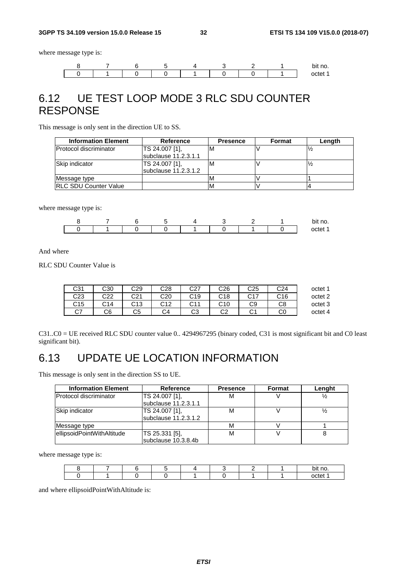where message type is:



# 6.12 UE TEST LOOP MODE 3 RLC SDU COUNTER RESPONSE

This message is only sent in the direction UE to SS.

| <b>Information Element</b>    | <b>Reference</b>                       | <b>Presence</b> | Format | Length |
|-------------------------------|----------------------------------------|-----------------|--------|--------|
| <b>Protocol discriminator</b> | TS 24.007 [1].<br>subclause 11.2.3.1.1 | M               |        |        |
| Skip indicator                | TS 24.007 [1].<br>subclause 11.2.3.1.2 | M               |        |        |
| Message type                  |                                        |                 |        |        |
| <b>RLC SDU Counter Value</b>  |                                        |                 |        |        |

where message type is:



And where

RLC SDU Counter Value is

| octet 1 | C24 | C <sub>25</sub> | C <sub>26</sub> | C27  | C28          | C29 | C30 | C31     |
|---------|-----|-----------------|-----------------|------|--------------|-----|-----|---------|
| octet 2 | C16 | C17             | C18             | C19  | C20          | C21 | C22 | C23     |
| octet 3 | C8  | C9              | C10             | r 11 | r 1 2<br>◡ィ∠ | C13 | C14 | C15     |
| octet 4 | C0  | $\sim$<br>U.    | ⌒⌒<br>◡∠        | C3   | C4           | C5  | C6  | ~7<br>◡ |

C31..C0 = UE received RLC SDU counter value 0.. 4294967295 (binary coded, C31 is most significant bit and C0 least significant bit).

# 6.13 UPDATE UE LOCATION INFORMATION

This message is only sent in the direction SS to UE.

| <b>Information Element</b> | <b>Reference</b>     | <b>Presence</b> | Format | Lenght |
|----------------------------|----------------------|-----------------|--------|--------|
| Protocol discriminator     | TS 24.007 [1],       | м               |        |        |
|                            | subclause 11.2.3.1.1 |                 |        |        |
| Skip indicator             | TS 24.007 [1],       | М               |        |        |
|                            | subclause 11.2.3.1.2 |                 |        |        |
| Message type               |                      | м               |        |        |
| ellipsoidPointWithAltitude | TS 25.331 [5],       | м               |        |        |
|                            | subclause 10.3.8.4b  |                 |        |        |

where message type is:

|  |  |  |  | bit no. |
|--|--|--|--|---------|
|  |  |  |  | nctet   |

and where ellipsoidPointWithAltitude is: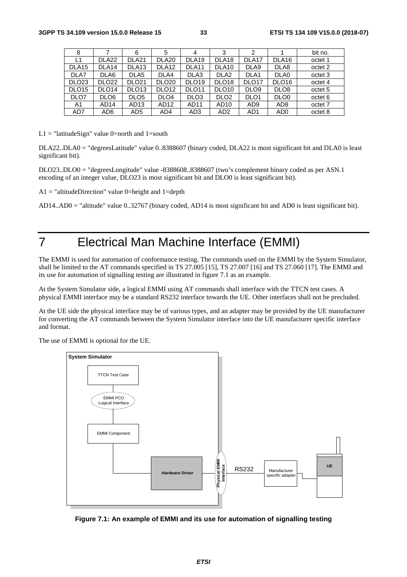| 5<br>bit no.<br>3<br>2<br>8<br>6<br>4<br>DLA <sub>19</sub><br>DLA <sub>18</sub><br>DLA <sub>17</sub><br>DLA <sub>22</sub><br>DLA <sub>21</sub><br>DLA <sub>16</sub><br>DLA <sub>20</sub><br>L1<br>octet 1<br>DLA <sub>13</sub><br>DLA <sub>12</sub><br>DLA <sub>11</sub><br>DLA <sub>10</sub><br>DLA9<br>DLA <sub>15</sub><br>DLA <sub>14</sub><br>DLA8<br>octet 2<br>DLA7<br>DLA6<br>DLA <sub>2</sub><br>DLA <sub>1</sub><br>DLA0<br>DLA <sub>5</sub><br>DLA4<br>DLA3<br>octet 3<br>DLO <sub>23</sub><br><b>DLO22</b><br><b>DLO21</b><br><b>DLO20</b><br>DLO <sub>19</sub><br>DLO <sub>18</sub><br>DLO <sub>17</sub><br>DLO <sub>16</sub><br>octet 4<br><b>DLO12</b><br>DLO <sub>10</sub><br>DLO <sub>15</sub><br>DLO <sub>14</sub><br>DLO <sub>13</sub><br>DLO <sub>11</sub><br>DLO <sub>9</sub><br>DLO <sub>8</sub><br>octet 5<br>DLO7<br>DLO <sub>6</sub><br>DLO <sub>5</sub><br>DLO <sub>4</sub><br>DLO <sub>3</sub><br>DLO <sub>2</sub><br>DLO <sub>0</sub><br>DLO <sub>1</sub><br>octet 6<br>AD <sub>14</sub><br>AD <sub>13</sub><br>AD12<br>AD <sub>11</sub><br>AD <sub>9</sub><br>AD <sub>8</sub><br>AD <sub>10</sub><br>octet 7<br>A1<br>AD7<br>AD6<br>AD5<br>AD3<br>AD <sub>2</sub><br>AD <sub>1</sub><br>AD <sub>0</sub><br>AD4<br>octet 8 |  |  |  |  |  |
|--------------------------------------------------------------------------------------------------------------------------------------------------------------------------------------------------------------------------------------------------------------------------------------------------------------------------------------------------------------------------------------------------------------------------------------------------------------------------------------------------------------------------------------------------------------------------------------------------------------------------------------------------------------------------------------------------------------------------------------------------------------------------------------------------------------------------------------------------------------------------------------------------------------------------------------------------------------------------------------------------------------------------------------------------------------------------------------------------------------------------------------------------------------------------------------------------------------------------------------------------------|--|--|--|--|--|
|                                                                                                                                                                                                                                                                                                                                                                                                                                                                                                                                                                                                                                                                                                                                                                                                                                                                                                                                                                                                                                                                                                                                                                                                                                                        |  |  |  |  |  |
|                                                                                                                                                                                                                                                                                                                                                                                                                                                                                                                                                                                                                                                                                                                                                                                                                                                                                                                                                                                                                                                                                                                                                                                                                                                        |  |  |  |  |  |
|                                                                                                                                                                                                                                                                                                                                                                                                                                                                                                                                                                                                                                                                                                                                                                                                                                                                                                                                                                                                                                                                                                                                                                                                                                                        |  |  |  |  |  |
|                                                                                                                                                                                                                                                                                                                                                                                                                                                                                                                                                                                                                                                                                                                                                                                                                                                                                                                                                                                                                                                                                                                                                                                                                                                        |  |  |  |  |  |
|                                                                                                                                                                                                                                                                                                                                                                                                                                                                                                                                                                                                                                                                                                                                                                                                                                                                                                                                                                                                                                                                                                                                                                                                                                                        |  |  |  |  |  |
|                                                                                                                                                                                                                                                                                                                                                                                                                                                                                                                                                                                                                                                                                                                                                                                                                                                                                                                                                                                                                                                                                                                                                                                                                                                        |  |  |  |  |  |
|                                                                                                                                                                                                                                                                                                                                                                                                                                                                                                                                                                                                                                                                                                                                                                                                                                                                                                                                                                                                                                                                                                                                                                                                                                                        |  |  |  |  |  |
|                                                                                                                                                                                                                                                                                                                                                                                                                                                                                                                                                                                                                                                                                                                                                                                                                                                                                                                                                                                                                                                                                                                                                                                                                                                        |  |  |  |  |  |
|                                                                                                                                                                                                                                                                                                                                                                                                                                                                                                                                                                                                                                                                                                                                                                                                                                                                                                                                                                                                                                                                                                                                                                                                                                                        |  |  |  |  |  |

 $L1 =$  "latitudeSign" value 0=north and 1=south

DLA22..DLA0 = "degreesLatitude" value 0..8388607 (binary coded, DLA22 is most significant bit and DLA0 is least significant bit).

DLO23..DLO0 = "degreesLongitude" value -8388608..8388607 (two's complement binary coded as per ASN.1 encoding of an integer value, DLO23 is most significant bit and DLO0 is least significant bit).

 $A1 = "altitudeDirection" value 0 = height and 1 = depth$ 

AD14..AD0 = "altitude" value 0..32767 (binary coded, AD14 is most significant bit and AD0 is least significant bit).

# 7 Electrical Man Machine Interface (EMMI)

The EMMI is used for automation of conformance testing. The commands used on the EMMI by the System Simulator, shall be limited to the AT commands specified in TS 27.005 [15], TS 27.007 [16] and TS 27.060 [17]. The EMMI and its use for automation of signalling testing are illustrated in figure 7.1 as an example.

At the System Simulator side, a logical EMMI using AT commands shall interface with the TTCN test cases. A physical EMMI interface may be a standard RS232 interface towards the UE. Other interfaces shall not be precluded.

At the UE side the physical interface may be of various types, and an adapter may be provided by the UE manufacturer for converting the AT commands between the System Simulator interface into the UE manufacturer specific interface and format.

The use of EMMI is optional for the UE.



**Figure 7.1: An example of EMMI and its use for automation of signalling testing**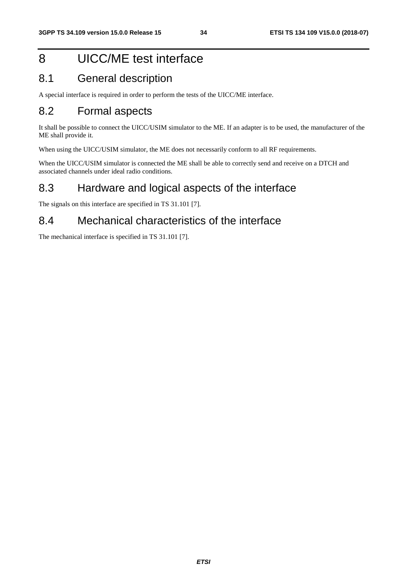# 8 UICC/ME test interface

### 8.1 General description

A special interface is required in order to perform the tests of the UICC/ME interface.

### 8.2 Formal aspects

It shall be possible to connect the UICC/USIM simulator to the ME. If an adapter is to be used, the manufacturer of the ME shall provide it.

When using the UICC/USIM simulator, the ME does not necessarily conform to all RF requirements.

When the UICC/USIM simulator is connected the ME shall be able to correctly send and receive on a DTCH and associated channels under ideal radio conditions.

### 8.3 Hardware and logical aspects of the interface

The signals on this interface are specified in TS 31.101 [7].

### 8.4 Mechanical characteristics of the interface

The mechanical interface is specified in TS 31.101 [7].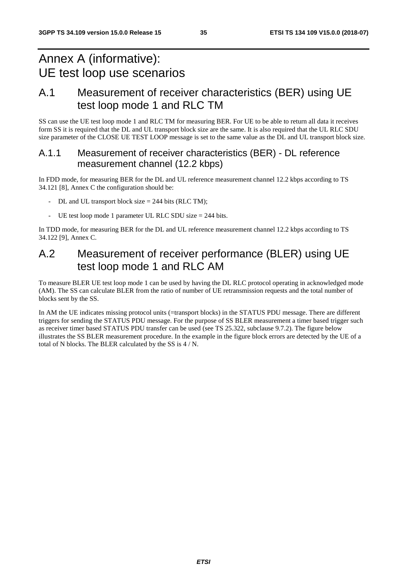# Annex A (informative): UE test loop use scenarios

# A.1 Measurement of receiver characteristics (BER) using UE test loop mode 1 and RLC TM

SS can use the UE test loop mode 1 and RLC TM for measuring BER. For UE to be able to return all data it receives form SS it is required that the DL and UL transport block size are the same. It is also required that the UL RLC SDU size parameter of the CLOSE UE TEST LOOP message is set to the same value as the DL and UL transport block size.

### A.1.1 Measurement of receiver characteristics (BER) - DL reference measurement channel (12.2 kbps)

In FDD mode, for measuring BER for the DL and UL reference measurement channel 12.2 kbps according to TS 34.121 [8], Annex C the configuration should be:

- DL and UL transport block size  $= 244$  bits (RLC TM);
- UE test loop mode 1 parameter UL RLC SDU size  $= 244$  bits.

In TDD mode, for measuring BER for the DL and UL reference measurement channel 12.2 kbps according to TS 34.122 [9], Annex C.

### A.2 Measurement of receiver performance (BLER) using UE test loop mode 1 and RLC AM

To measure BLER UE test loop mode 1 can be used by having the DL RLC protocol operating in acknowledged mode (AM). The SS can calculate BLER from the ratio of number of UE retransmission requests and the total number of blocks sent by the SS.

In AM the UE indicates missing protocol units (=transport blocks) in the STATUS PDU message. There are different triggers for sending the STATUS PDU message. For the purpose of SS BLER measurement a timer based trigger such as receiver timer based STATUS PDU transfer can be used (see TS 25.322, subclause 9.7.2). The figure below illustrates the SS BLER measurement procedure. In the example in the figure block errors are detected by the UE of a total of N blocks. The BLER calculated by the SS is 4 / N.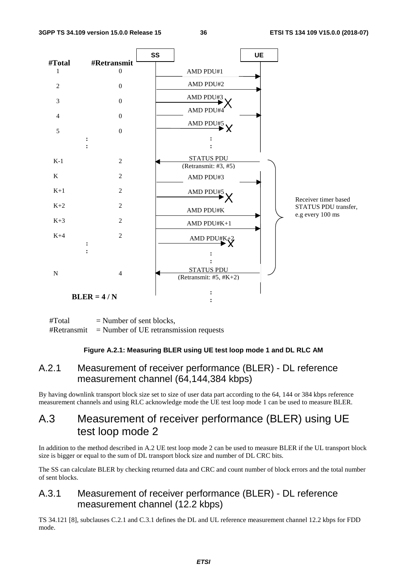

 $#Total$  = Number of sent blocks,  $\#Retransmit$  = Number of UE retransmission requests

#### **Figure A.2.1: Measuring BLER using UE test loop mode 1 and DL RLC AM**

### A.2.1 Measurement of receiver performance (BLER) - DL reference measurement channel (64,144,384 kbps)

By having downlink transport block size set to size of user data part according to the 64, 144 or 384 kbps reference measurement channels and using RLC acknowledge mode the UE test loop mode 1 can be used to measure BLER.

### A.3 Measurement of receiver performance (BLER) using UE test loop mode 2

In addition to the method described in A.2 UE test loop mode 2 can be used to measure BLER if the UL transport block size is bigger or equal to the sum of DL transport block size and number of DL CRC bits.

The SS can calculate BLER by checking returned data and CRC and count number of block errors and the total number of sent blocks.

### A.3.1 Measurement of receiver performance (BLER) - DL reference measurement channel (12.2 kbps)

TS 34.121 [8], subclauses C.2.1 and C.3.1 defines the DL and UL reference measurement channel 12.2 kbps for FDD mode.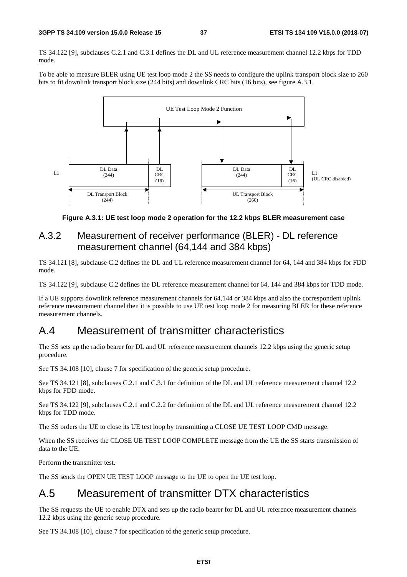TS 34.122 [9], subclauses C.2.1 and C.3.1 defines the DL and UL reference measurement channel 12.2 kbps for TDD mode.

To be able to measure BLER using UE test loop mode 2 the SS needs to configure the uplink transport block size to 260 bits to fit downlink transport block size (244 bits) and downlink CRC bits (16 bits), see figure A.3.1.



**Figure A.3.1: UE test loop mode 2 operation for the 12.2 kbps BLER measurement case** 

### A.3.2 Measurement of receiver performance (BLER) - DL reference measurement channel (64,144 and 384 kbps)

TS 34.121 [8], subclause C.2 defines the DL and UL reference measurement channel for 64, 144 and 384 kbps for FDD mode.

TS 34.122 [9], subclause C.2 defines the DL reference measurement channel for 64, 144 and 384 kbps for TDD mode.

If a UE supports downlink reference measurement channels for 64,144 or 384 kbps and also the correspondent uplink reference measurement channel then it is possible to use UE test loop mode 2 for measuring BLER for these reference measurement channels.

### A.4 Measurement of transmitter characteristics

The SS sets up the radio bearer for DL and UL reference measurement channels 12.2 kbps using the generic setup procedure.

See TS 34.108 [10], clause 7 for specification of the generic setup procedure.

See TS 34.121 [8], subclauses C.2.1 and C.3.1 for definition of the DL and UL reference measurement channel 12.2 kbps for FDD mode.

See TS 34.122 [9], subclauses C.2.1 and C.2.2 for definition of the DL and UL reference measurement channel 12.2 kbps for TDD mode.

The SS orders the UE to close its UE test loop by transmitting a CLOSE UE TEST LOOP CMD message.

When the SS receives the CLOSE UE TEST LOOP COMPLETE message from the UE the SS starts transmission of data to the UE.

Perform the transmitter test.

The SS sends the OPEN UE TEST LOOP message to the UE to open the UE test loop.

### A.5 Measurement of transmitter DTX characteristics

The SS requests the UE to enable DTX and sets up the radio bearer for DL and UL reference measurement channels 12.2 kbps using the generic setup procedure.

See TS 34.108 [10], clause 7 for specification of the generic setup procedure.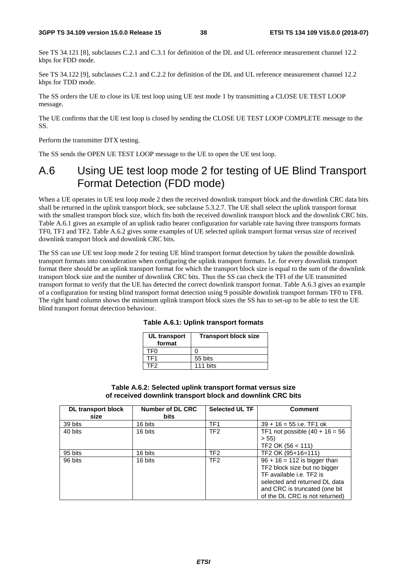See TS 34.121 [8], subclauses C.2.1 and C.3.1 for definition of the DL and UL reference measurement channel 12.2 kbps for FDD mode.

See TS 34.122 [9], subclauses C.2.1 and C.2.2 for definition of the DL and UL reference measurement channel 12.2 kbps for TDD mode.

The SS orders the UE to close its UE test loop using UE test mode 1 by transmitting a CLOSE UE TEST LOOP message.

The UE confirms that the UE test loop is closed by sending the CLOSE UE TEST LOOP COMPLETE message to the SS.

Perform the transmitter DTX testing.

The SS sends the OPEN UE TEST LOOP message to the UE to open the UE test loop.

### A.6 Using UE test loop mode 2 for testing of UE Blind Transport Format Detection (FDD mode)

When a UE operates in UE test loop mode 2 then the received downlink transport block and the downlink CRC data bits shall be returned in the uplink transport block, see subclause 5.3.2.7. The UE shall select the uplink transport format with the smallest transport block size, which fits both the received downlink transport block and the downlink CRC bits. Table A.6.1 gives an example of an uplink radio bearer configuration for variable rate having three transports formats TF0, TF1 and TF2. Table A.6.2 gives some examples of UE selected uplink transport format versus size of received downlink transport block and downlink CRC bits.

The SS can use UE test loop mode 2 for testing UE blind transport format detection by taken the possible downlink transport formats into consideration when configuring the uplink transport formats. I.e. for every downlink transport format there should be an uplink transport format for which the transport block size is equal to the sum of the downlink transport block size and the number of downlink CRC bits. Thus the SS can check the TFI of the UE transmitted transport format to verify that the UE has detected the correct downlink transport format. Table A.6.3 gives an example of a configuration for testing blind transport format detection using 9 possible downlink transport formats TF0 to TF8. The right hand column shows the minimum uplink transport block sizes the SS has to set-up to be able to test the UE blind transport format detection behaviour.

| UL transport<br>format | <b>Transport block size</b> |
|------------------------|-----------------------------|
| TF0                    |                             |
| TF1                    | 55 bits                     |
| TF2                    | 111 bits                    |

| Table A.6.1: Uplink transport formats |  |  |  |  |
|---------------------------------------|--|--|--|--|
|---------------------------------------|--|--|--|--|

#### **Table A.6.2: Selected uplink transport format versus size of received downlink transport block and downlink CRC bits**

| <b>DL transport block</b><br>size | Number of DL CRC<br><b>bits</b> | <b>Selected UL TF</b> | <b>Comment</b>                                                                                                                                                                                 |
|-----------------------------------|---------------------------------|-----------------------|------------------------------------------------------------------------------------------------------------------------------------------------------------------------------------------------|
| 39 bits                           | 16 bits                         | TF <sub>1</sub>       | $39 + 16 = 55$ i.e. TF1 ok                                                                                                                                                                     |
| 40 bits                           | 16 bits                         | TF <sub>2</sub>       | TF1 not possible $(40 + 16 = 56)$<br>> 55<br>TF2 OK (56 < 111)                                                                                                                                 |
| 95 bits                           | 16 bits                         | TF <sub>2</sub>       | TF2 OK (95+16=111)                                                                                                                                                                             |
| 96 bits                           | 16 bits                         | TF <sub>2</sub>       | $96 + 16 = 112$ is bigger than<br>TF2 block size but no bigger<br>TF available i.e. TF2 is<br>selected and returned DL data<br>and CRC is truncated (one bit<br>of the DL CRC is not returned) |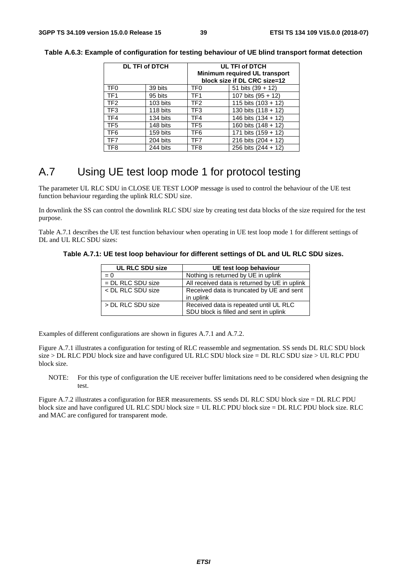|                 | <b>DL TFI of DTCH</b> | <b>UL TFI of DTCH</b><br>Minimum required UL transport<br>block size if DL CRC size=12 |                       |  |
|-----------------|-----------------------|----------------------------------------------------------------------------------------|-----------------------|--|
| TF <sub>0</sub> | 39 bits               | TF <sub>0</sub>                                                                        | 51 bits $(39 + 12)$   |  |
| TF <sub>1</sub> | 95 bits               | TF <sub>1</sub>                                                                        | 107 bits $(95 + 12)$  |  |
| TF <sub>2</sub> | 103 bits              | TF2                                                                                    | 115 bits $(103 + 12)$ |  |
| TF <sub>3</sub> | 118 bits              | TF <sub>3</sub>                                                                        | 130 bits $(118 + 12)$ |  |
| TF4             | 134 bits              | TF4                                                                                    | 146 bits (134 + 12)   |  |
| TF <sub>5</sub> | 148 bits              | TF <sub>5</sub>                                                                        | 160 bits (148 + 12)   |  |
| TF <sub>6</sub> | 159 bits              | TF <sub>6</sub>                                                                        | 171 bits $(159 + 12)$ |  |
| TF7             | 204 bits              | TF7                                                                                    | 216 bits $(204 + 12)$ |  |
| TF8             | 244 bits              | TF <sub>8</sub>                                                                        | 256 bits (244 + 12)   |  |

**Table A.6.3: Example of configuration for testing behaviour of UE blind transport format detection** 

# A.7 Using UE test loop mode 1 for protocol testing

The parameter UL RLC SDU in CLOSE UE TEST LOOP message is used to control the behaviour of the UE test function behaviour regarding the uplink RLC SDU size.

In downlink the SS can control the downlink RLC SDU size by creating test data blocks of the size required for the test purpose.

Table A.7.1 describes the UE test function behaviour when operating in UE test loop mode 1 for different settings of DL and UL RLC SDU sizes:

**Table A.7.1: UE test loop behaviour for different settings of DL and UL RLC SDU sizes.** 

| <b>UL RLC SDU size</b> | UE test loop behaviour                                                           |
|------------------------|----------------------------------------------------------------------------------|
| $= 0$                  | Nothing is returned by UE in uplink                                              |
| $=$ DL RLC SDU size    | All received data is returned by UE in uplink                                    |
| < DL RLC SDU size      | Received data is truncated by UE and sent<br>in uplink                           |
| > DL RLC SDU size      | Received data is repeated until UL RLC<br>SDU block is filled and sent in uplink |

Examples of different configurations are shown in figures A.7.1 and A.7.2.

Figure A.7.1 illustrates a configuration for testing of RLC reassemble and segmentation. SS sends DL RLC SDU block size > DL RLC PDU block size and have configured UL RLC SDU block size = DL RLC SDU size > UL RLC PDU block size.

NOTE: For this type of configuration the UE receiver buffer limitations need to be considered when designing the test.

Figure A.7.2 illustrates a configuration for BER measurements. SS sends DL RLC SDU block size = DL RLC PDU block size and have configured UL RLC SDU block size = UL RLC PDU block size = DL RLC PDU block size. RLC and MAC are configured for transparent mode.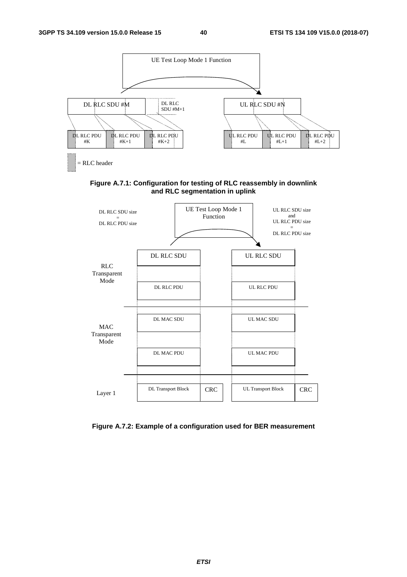

**Figure A.7.1: Configuration for testing of RLC reassembly in downlink and RLC segmentation in uplink** 



**Figure A.7.2: Example of a configuration used for BER measurement**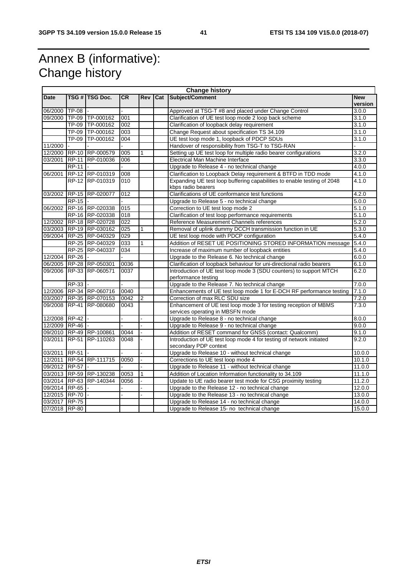# Annex B (informative): Change history

|               | <b>Change history</b> |                         |                  |              |     |                                                                                                      |                       |
|---------------|-----------------------|-------------------------|------------------|--------------|-----|------------------------------------------------------------------------------------------------------|-----------------------|
| <b>Date</b>   |                       | TSG #   TSG Doc.        | <b>CR</b>        | <b>Rev</b>   | Cat | Subject/Comment                                                                                      | <b>New</b><br>version |
| 06/2000       | <b>TP-08</b>          |                         |                  |              |     | Approved at TSG-T #8 and placed under Change Control                                                 | 3.0.0                 |
|               |                       | 09/2000 TP-09 TP-000162 | 001              |              |     | Clarification of UE test loop mode 2 loop back scheme                                                | 3.1.0                 |
|               |                       | TP-09 TP-000162         | 002              |              |     | Clarification of loopback delay requirement                                                          | 3.1.0                 |
|               |                       | TP-09 TP-000162         | 003              |              |     | Change Request about specification TS 34.109                                                         | 3.1.0                 |
|               |                       | TP-09 TP-000162         | 004              |              |     | UE test loop mode 1, loopback of PDCP SDUs                                                           | 3.1.0                 |
| 11/2000       |                       |                         |                  |              |     | Handover of responsibility from TSG-T to TSG-RAN                                                     |                       |
| 12/2000       |                       | RP-10 RP-000579         | 005              | 1            |     | Setting up UE test loop for multiple radio bearer configurations                                     | 3.2.0                 |
| 03/2001       |                       | RP-11 RP-010036         | 006              |              |     | Electrical Man Machine Interface                                                                     | 3.3.0                 |
|               | <b>RP-11</b>          |                         |                  |              |     | Upgrade to Release 4 - no technical change                                                           | 4.0.0                 |
| 06/2001       |                       | RP-12 RP-010319         | 008              |              |     | Clarification to Loopback Delay requirement & BTFD in TDD mode                                       | 4.1.0                 |
|               |                       | RP-12 RP-010319         | 010              |              |     | Expanding UE test loop buffering capabilities to enable testing of 2048<br>kbps radio bearers        | 4.1.0                 |
| 03/2002       |                       | RP-15 RP-020077         | 012              |              |     | Clarifications of UE conformance test functions                                                      | 4.2.0                 |
|               | <b>RP-15</b>          |                         |                  |              |     | Upgrade to Release 5 - no technical change                                                           | 5.0.0                 |
| 06/2002       |                       | RP-16 RP-020338         | 015              |              |     | Correction to UE test loop mode 2                                                                    | 5.1.0                 |
|               |                       | RP-16 RP-020338         | 018              |              |     | Clarification of test loop performance requirements                                                  | 5.1.0                 |
| 12/2002       |                       | RP-18 RP-020728         | 022              |              |     | Reference Measurement Channels references                                                            | 5.2.0                 |
| 03/2003       |                       | RP-19 RP-030162         | $\overline{025}$ | $\mathbf{1}$ |     | Removal of uplink dummy DCCH transmission function in UE                                             | 5.3.0                 |
| 09/2004       |                       | RP-25 RP-040329         | 029              |              |     | UE test loop mode with PDCP configuration                                                            | 5.4.0                 |
|               |                       | RP-25 RP-040329         | 033              | $\mathbf{1}$ |     | Addition of RESET UE POSITIONING STORED INFORMATION message                                          | 5.4.0                 |
|               |                       | RP-25 RP-040337         | 034              |              |     | Increase of maximum number of loopback entities                                                      | 5.4.0                 |
| 12/2004       | <b>RP-26</b>          |                         |                  |              |     | Upgrade to the Release 6. No technical change                                                        | 6.0.0                 |
| 06/2005       |                       | RP-28 RP-050301         | 0036             |              |     | Clarification of loopback behaviour for uni-directional radio bearers                                | 6.1.0                 |
| 09/2006       |                       | RP-33 RP-060571         | 0037             |              |     | Introduction of UE test loop mode 3 (SDU counters) to support MTCH<br>performance testing            | 6.2.0                 |
|               | <b>RP-33</b>          |                         |                  |              |     | Upgrade to the Release 7. No technical change                                                        | 7.0.0                 |
| 12/2006       |                       | RP-34 RP-060716         | 0040             |              |     | Enhancements of UE test loop mode 1 for E-DCH RF performance testing                                 | 7.1.0                 |
| 03/2007       |                       | RP-35 RP-070153         | 0042             | 2            |     | Correction of max RLC SDU size                                                                       | 7.2.0                 |
| 09/2008       |                       | RP-41 RP-080680         | 0043             |              |     | Enhancement of UE test loop mode 3 for testing reception of MBMS<br>services operating in MBSFN mode | 7.3.0                 |
| 12/2008 RP-42 |                       |                         |                  |              |     | Upgrade to Release 8 - no technical change                                                           | 8.0.0                 |
| 12/2009       | <b>RP-46</b>          |                         |                  |              |     | Upgrade to Release 9 - no technical change                                                           | 9.0.0                 |
| 09/2010       |                       | RP-49 RP-100861         | 0044             |              |     | Addition of RESET command for GNSS (contact: Qualcomm)                                               | 9.1.0                 |
| 03/2011       |                       | RP-51 RP-110263         | 0048             |              |     | Introduction of UE test loop mode 4 for testing of network initiated<br>secondary PDP context        | 9.2.0                 |
| 03/2011       | <b>RP-51</b>          |                         |                  |              |     | Upgrade to Release 10 - without technical change                                                     | 10.0.0                |
|               |                       | 12/2011 RP-54 RP-111715 | 0050             |              |     | Corrections to UE test loop mode 4                                                                   | 10.1.0                |
| 09/2012 RP-57 |                       |                         |                  |              |     | Upgrade to Release 11 - without technical change                                                     | 11.0.0                |
|               |                       | 03/2013 RP-59 RP-130238 | 0053             | 1            |     | Addition of Location Information functionality to 34.109                                             | 11.1.0                |
|               |                       | 03/2014 RP-63 RP-140344 | 0056             |              |     | Update to UE radio bearer test mode for CSG proximity testing                                        | 11.2.0                |
| 09/2014 RP-65 |                       |                         |                  |              |     | Upgrade to the Release 12 - no technical change                                                      | 12.0.0                |
| 12/2015 RP-70 |                       |                         |                  |              |     | Upgrade to the Release 13 - no technical change                                                      | 13.0.0                |
| 03/2017 RP-75 |                       |                         |                  |              |     | Upgrade to Release 14 - no technical change                                                          | 14.0.0                |
| 07/2018 RP-80 |                       |                         |                  |              |     | Upgrade to Release 15- no technical change                                                           | 15.0.0                |